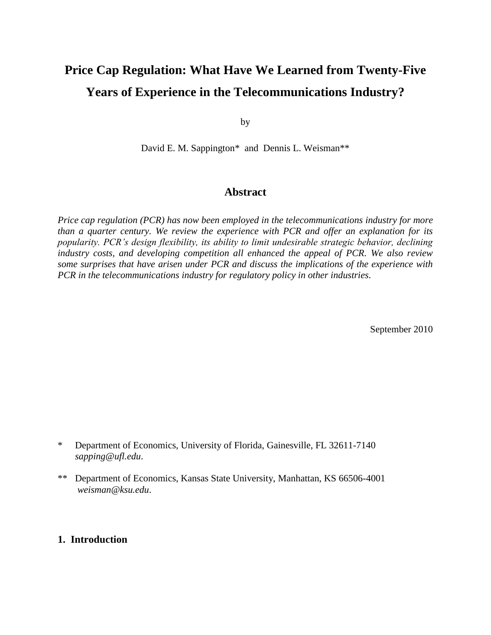# **Price Cap Regulation: What Have We Learned from Twenty-Five Years of Experience in the Telecommunications Industry?**

by

David E. M. Sappington\* and Dennis L. Weisman\*\*

# **Abstract**

*Price cap regulation (PCR) has now been employed in the telecommunications industry for more than a quarter century. We review the experience with PCR and offer an explanation for its popularity. PCR"s design flexibility, its ability to limit undesirable strategic behavior, declining industry costs, and developing competition all enhanced the appeal of PCR. We also review some surprises that have arisen under PCR and discuss the implications of the experience with PCR in the telecommunications industry for regulatory policy in other industries.* 

September 2010

\* Department of Economics, University of Florida, Gainesville, FL 32611-7140 *[sapping@ufl.edu](mailto:sapping@ufl.edu)*.

\*\* Department of Economics, Kansas State University, Manhattan, KS 66506-4001 *[weisman@ksu.edu](mailto:weisman@ksu.edu)*.

# **1. Introduction**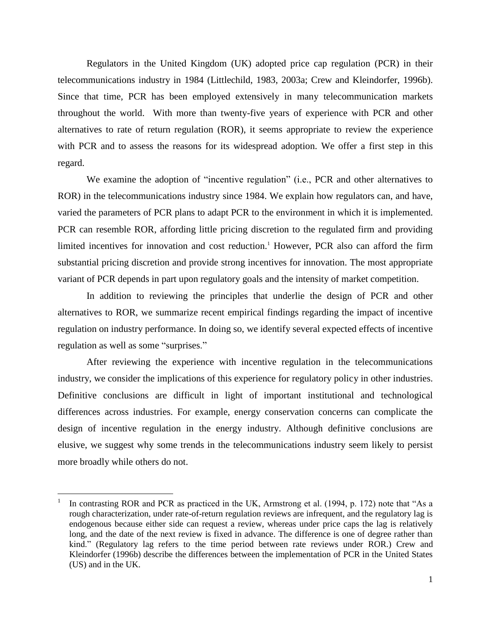Regulators in the United Kingdom (UK) adopted price cap regulation (PCR) in their telecommunications industry in 1984 (Littlechild, 1983, 2003a; Crew and Kleindorfer, 1996b). Since that time, PCR has been employed extensively in many telecommunication markets throughout the world. With more than twenty-five years of experience with PCR and other alternatives to rate of return regulation (ROR), it seems appropriate to review the experience with PCR and to assess the reasons for its widespread adoption. We offer a first step in this regard.

We examine the adoption of "incentive regulation" (i.e., PCR and other alternatives to ROR) in the telecommunications industry since 1984. We explain how regulators can, and have, varied the parameters of PCR plans to adapt PCR to the environment in which it is implemented. PCR can resemble ROR, affording little pricing discretion to the regulated firm and providing limited incentives for innovation and cost reduction.<sup>1</sup> However, PCR also can afford the firm substantial pricing discretion and provide strong incentives for innovation. The most appropriate variant of PCR depends in part upon regulatory goals and the intensity of market competition.

In addition to reviewing the principles that underlie the design of PCR and other alternatives to ROR, we summarize recent empirical findings regarding the impact of incentive regulation on industry performance. In doing so, we identify several expected effects of incentive regulation as well as some "surprises."

After reviewing the experience with incentive regulation in the telecommunications industry, we consider the implications of this experience for regulatory policy in other industries. Definitive conclusions are difficult in light of important institutional and technological differences across industries. For example, energy conservation concerns can complicate the design of incentive regulation in the energy industry. Although definitive conclusions are elusive, we suggest why some trends in the telecommunications industry seem likely to persist more broadly while others do not.

<sup>1</sup> In contrasting ROR and PCR as practiced in the UK, Armstrong et al. (1994, p. 172) note that "As a rough characterization, under rate-of-return regulation reviews are infrequent, and the regulatory lag is endogenous because either side can request a review, whereas under price caps the lag is relatively long, and the date of the next review is fixed in advance. The difference is one of degree rather than kind." (Regulatory lag refers to the time period between rate reviews under ROR.) Crew and Kleindorfer (1996b) describe the differences between the implementation of PCR in the United States (US) and in the UK.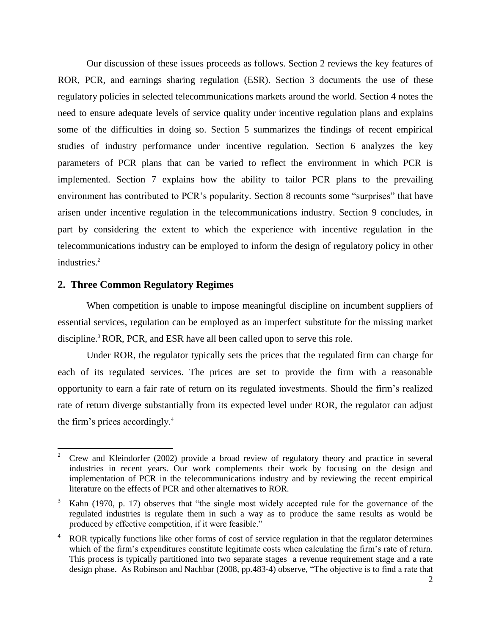Our discussion of these issues proceeds as follows. Section 2 reviews the key features of ROR, PCR, and earnings sharing regulation (ESR). Section 3 documents the use of these regulatory policies in selected telecommunications markets around the world. Section 4 notes the need to ensure adequate levels of service quality under incentive regulation plans and explains some of the difficulties in doing so. Section 5 summarizes the findings of recent empirical studies of industry performance under incentive regulation. Section 6 analyzes the key parameters of PCR plans that can be varied to reflect the environment in which PCR is implemented. Section 7 explains how the ability to tailor PCR plans to the prevailing environment has contributed to PCR"s popularity. Section 8 recounts some "surprises" that have arisen under incentive regulation in the telecommunications industry. Section 9 concludes, in part by considering the extent to which the experience with incentive regulation in the telecommunications industry can be employed to inform the design of regulatory policy in other industries. 2

## **2. Three Common Regulatory Regimes**

 $\overline{a}$ 

When competition is unable to impose meaningful discipline on incumbent suppliers of essential services, regulation can be employed as an imperfect substitute for the missing market discipline.<sup>3</sup> ROR, PCR, and ESR have all been called upon to serve this role.

Under ROR, the regulator typically sets the prices that the regulated firm can charge for each of its regulated services. The prices are set to provide the firm with a reasonable opportunity to earn a fair rate of return on its regulated investments. Should the firm"s realized rate of return diverge substantially from its expected level under ROR, the regulator can adjust the firm's prices accordingly.<sup>4</sup>

<sup>2</sup> Crew and Kleindorfer (2002) provide a broad review of regulatory theory and practice in several industries in recent years. Our work complements their work by focusing on the design and implementation of PCR in the telecommunications industry and by reviewing the recent empirical literature on the effects of PCR and other alternatives to ROR.

<sup>&</sup>lt;sup>3</sup> Kahn (1970, p. 17) observes that "the single most widely accepted rule for the governance of the regulated industries is regulate them in such a way as to produce the same results as would be produced by effective competition, if it were feasible."

<sup>4</sup> ROR typically functions like other forms of cost of service regulation in that the regulator determines which of the firm's expenditures constitute legitimate costs when calculating the firm's rate of return. This process is typically partitioned into two separate stages a revenue requirement stage and a rate design phase. As Robinson and Nachbar (2008, pp.483-4) observe, "The objective is to find a rate that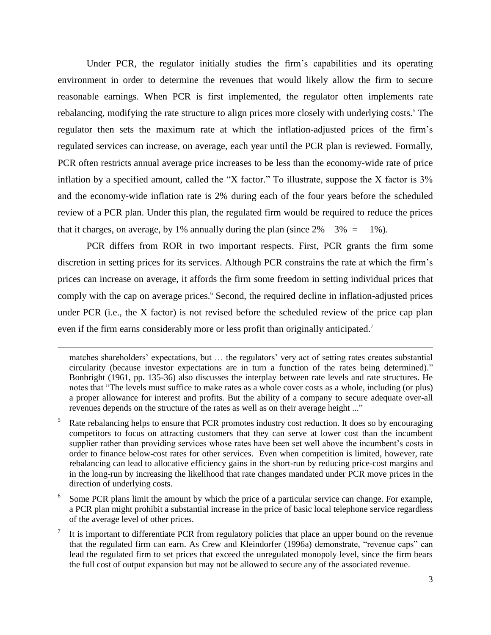Under PCR, the regulator initially studies the firm"s capabilities and its operating environment in order to determine the revenues that would likely allow the firm to secure reasonable earnings. When PCR is first implemented, the regulator often implements rate rebalancing, modifying the rate structure to align prices more closely with underlying costs.<sup>5</sup> The regulator then sets the maximum rate at which the inflation-adjusted prices of the firm"s regulated services can increase, on average, each year until the PCR plan is reviewed. Formally, PCR often restricts annual average price increases to be less than the economy-wide rate of price inflation by a specified amount, called the "X factor." To illustrate, suppose the X factor is 3% and the economy-wide inflation rate is 2% during each of the four years before the scheduled review of a PCR plan. Under this plan, the regulated firm would be required to reduce the prices that it charges, on average, by 1% annually during the plan (since  $2\% - 3\% = -1\%$ ).

PCR differs from ROR in two important respects. First, PCR grants the firm some discretion in setting prices for its services. Although PCR constrains the rate at which the firm"s prices can increase on average, it affords the firm some freedom in setting individual prices that comply with the cap on average prices.<sup>6</sup> Second, the required decline in inflation-adjusted prices under PCR (i.e., the X factor) is not revised before the scheduled review of the price cap plan even if the firm earns considerably more or less profit than originally anticipated.<sup>7</sup>

matches shareholders' expectations, but ... the regulators' very act of setting rates creates substantial circularity (because investor expectations are in turn a function of the rates being determined)." Bonbright (1961, pp. 135-36) also discusses the interplay between rate levels and rate structures. He notes that "The levels must suffice to make rates as a whole cover costs as a whole, including (or plus) a proper allowance for interest and profits. But the ability of a company to secure adequate over-all revenues depends on the structure of the rates as well as on their average height ..."

<sup>5</sup> Rate rebalancing helps to ensure that PCR promotes industry cost reduction. It does so by encouraging competitors to focus on attracting customers that they can serve at lower cost than the incumbent supplier rather than providing services whose rates have been set well above the incumbent's costs in order to finance below-cost rates for other services. Even when competition is limited, however, rate rebalancing can lead to allocative efficiency gains in the short-run by reducing price-cost margins and in the long-run by increasing the likelihood that rate changes mandated under PCR move prices in the direction of underlying costs.

<sup>6</sup> Some PCR plans limit the amount by which the price of a particular service can change. For example, a PCR plan might prohibit a substantial increase in the price of basic local telephone service regardless of the average level of other prices.

<sup>7</sup> It is important to differentiate PCR from regulatory policies that place an upper bound on the revenue that the regulated firm can earn. As Crew and Kleindorfer (1996a) demonstrate, "revenue caps" can lead the regulated firm to set prices that exceed the unregulated monopoly level, since the firm bears the full cost of output expansion but may not be allowed to secure any of the associated revenue.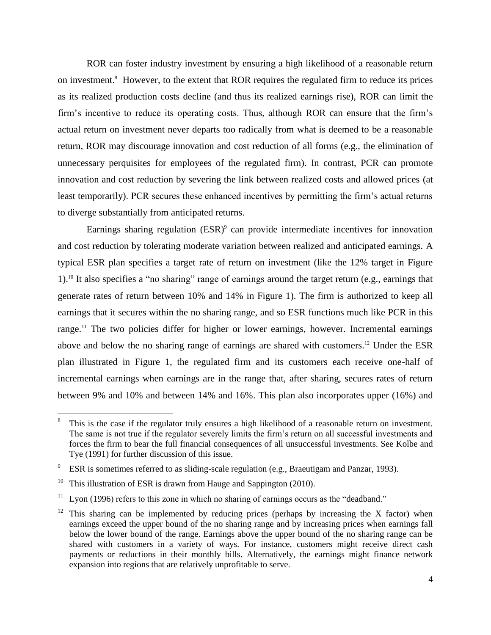ROR can foster industry investment by ensuring a high likelihood of a reasonable return on investment. <sup>8</sup> However, to the extent that ROR requires the regulated firm to reduce its prices as its realized production costs decline (and thus its realized earnings rise), ROR can limit the firm's incentive to reduce its operating costs. Thus, although ROR can ensure that the firm's actual return on investment never departs too radically from what is deemed to be a reasonable return, ROR may discourage innovation and cost reduction of all forms (e.g., the elimination of unnecessary perquisites for employees of the regulated firm). In contrast, PCR can promote innovation and cost reduction by severing the link between realized costs and allowed prices (at least temporarily). PCR secures these enhanced incentives by permitting the firm's actual returns to diverge substantially from anticipated returns.

Earnings sharing regulation  $(ESR)$ <sup>9</sup> can provide intermediate incentives for innovation and cost reduction by tolerating moderate variation between realized and anticipated earnings. A typical ESR plan specifies a target rate of return on investment (like the 12% target in Figure 1).<sup>10</sup> It also specifies a "no sharing" range of earnings around the target return (e.g., earnings that generate rates of return between 10% and 14% in Figure 1). The firm is authorized to keep all earnings that it secures within the no sharing range, and so ESR functions much like PCR in this range.<sup>11</sup> The two policies differ for higher or lower earnings, however. Incremental earnings above and below the no sharing range of earnings are shared with customers.<sup>12</sup> Under the ESR plan illustrated in Figure 1, the regulated firm and its customers each receive one-half of incremental earnings when earnings are in the range that, after sharing, secures rates of return between 9% and 10% and between 14% and 16%. This plan also incorporates upper (16%) and

This is the case if the regulator truly ensures a high likelihood of a reasonable return on investment. The same is not true if the regulator severely limits the firm"s return on all successful investments and forces the firm to bear the full financial consequences of all unsuccessful investments. See Kolbe and Tye (1991) for further discussion of this issue.

<sup>&</sup>lt;sup>9</sup> ESR is sometimes referred to as sliding-scale regulation (e.g., Braeutigam and Panzar, 1993).

<sup>&</sup>lt;sup>10</sup> This illustration of ESR is drawn from Hauge and Sappington (2010).

 $11$  Lyon (1996) refers to this zone in which no sharing of earnings occurs as the "deadband."

<sup>&</sup>lt;sup>12</sup> This sharing can be implemented by reducing prices (perhaps by increasing the X factor) when earnings exceed the upper bound of the no sharing range and by increasing prices when earnings fall below the lower bound of the range. Earnings above the upper bound of the no sharing range can be shared with customers in a variety of ways. For instance, customers might receive direct cash payments or reductions in their monthly bills. Alternatively, the earnings might finance network expansion into regions that are relatively unprofitable to serve.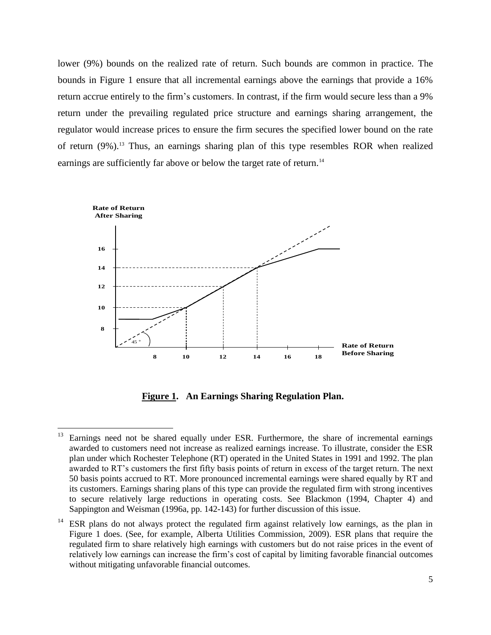lower (9%) bounds on the realized rate of return. Such bounds are common in practice. The bounds in Figure 1 ensure that all incremental earnings above the earnings that provide a 16% return accrue entirely to the firm"s customers. In contrast, if the firm would secure less than a 9% return under the prevailing regulated price structure and earnings sharing arrangement, the regulator would increase prices to ensure the firm secures the specified lower bound on the rate of return  $(9\%)$ .<sup>13</sup> Thus, an earnings sharing plan of this type resembles ROR when realized earnings are sufficiently far above or below the target rate of return.<sup>14</sup>



**Figure 1. An Earnings Sharing Regulation Plan.**

<sup>13</sup> Earnings need not be shared equally under ESR. Furthermore, the share of incremental earnings awarded to customers need not increase as realized earnings increase. To illustrate, consider the ESR plan under which Rochester Telephone (RT) operated in the United States in 1991 and 1992. The plan awarded to RT"s customers the first fifty basis points of return in excess of the target return. The next 50 basis points accrued to RT. More pronounced incremental earnings were shared equally by RT and its customers. Earnings sharing plans of this type can provide the regulated firm with strong incentives to secure relatively large reductions in operating costs. See Blackmon (1994, Chapter 4) and Sappington and Weisman (1996a, pp. 142-143) for further discussion of this issue.

 $14$  ESR plans do not always protect the regulated firm against relatively low earnings, as the plan in Figure 1 does. (See, for example, Alberta Utilities Commission, 2009). ESR plans that require the regulated firm to share relatively high earnings with customers but do not raise prices in the event of relatively low earnings can increase the firm"s cost of capital by limiting favorable financial outcomes without mitigating unfavorable financial outcomes.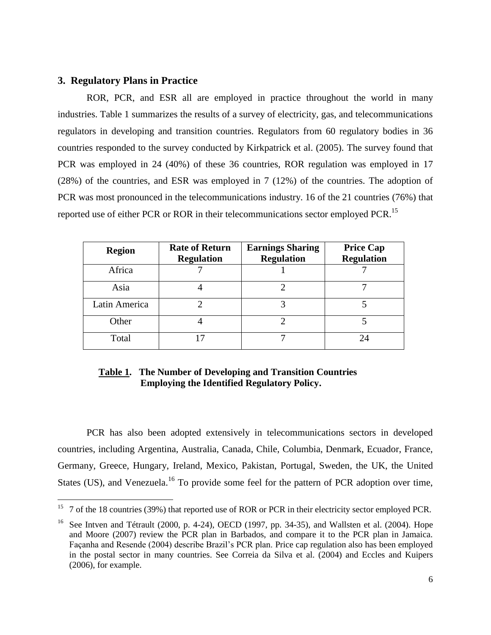## **3. Regulatory Plans in Practice**

 $\overline{a}$ 

ROR, PCR, and ESR all are employed in practice throughout the world in many industries. Table 1 summarizes the results of a survey of electricity, gas, and telecommunications regulators in developing and transition countries. Regulators from 60 regulatory bodies in 36 countries responded to the survey conducted by Kirkpatrick et al. (2005). The survey found that PCR was employed in 24 (40%) of these 36 countries, ROR regulation was employed in 17 (28%) of the countries, and ESR was employed in 7 (12%) of the countries. The adoption of PCR was most pronounced in the telecommunications industry. 16 of the 21 countries (76%) that reported use of either PCR or ROR in their telecommunications sector employed PCR.<sup>15</sup>

| <b>Region</b> | <b>Rate of Return</b><br><b>Regulation</b> | <b>Earnings Sharing</b><br><b>Regulation</b> | <b>Price Cap</b><br><b>Regulation</b> |
|---------------|--------------------------------------------|----------------------------------------------|---------------------------------------|
| Africa        |                                            |                                              |                                       |
| Asia          |                                            |                                              |                                       |
| Latin America |                                            |                                              |                                       |
| Other         |                                            |                                              |                                       |
| Total         |                                            |                                              |                                       |

# **Table 1. The Number of Developing and Transition Countries Employing the Identified Regulatory Policy.**

PCR has also been adopted extensively in telecommunications sectors in developed countries, including Argentina, Australia, Canada, Chile, Columbia, Denmark, Ecuador, France, Germany, Greece, Hungary, Ireland, Mexico, Pakistan, Portugal, Sweden, the UK, the United States (US), and Venezuela.<sup>16</sup> To provide some feel for the pattern of PCR adoption over time,

<sup>&</sup>lt;sup>15</sup> 7 of the 18 countries (39%) that reported use of ROR or PCR in their electricity sector employed PCR.

<sup>&</sup>lt;sup>16</sup> See Intven and Tétrault (2000, p. 4-24), OECD (1997, pp. 34-35), and Wallsten et al. (2004). Hope and Moore (2007) review the PCR plan in Barbados, and compare it to the PCR plan in Jamaica. Façanha and Resende (2004) describe Brazil"s PCR plan. Price cap regulation also has been employed in the postal sector in many countries. See Correia da Silva et al. (2004) and Eccles and Kuipers (2006), for example.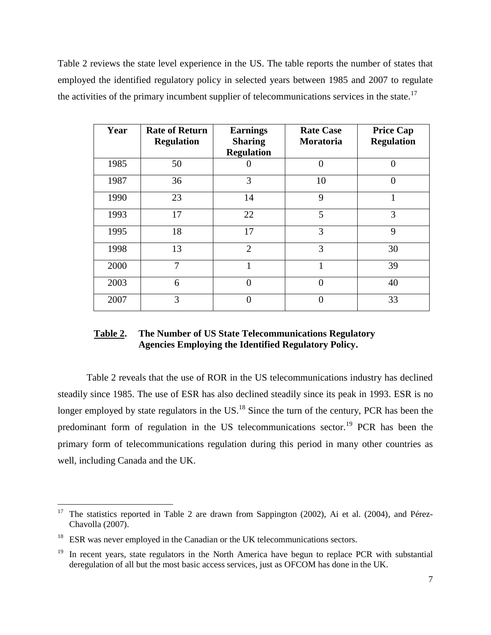Table 2 reviews the state level experience in the US. The table reports the number of states that employed the identified regulatory policy in selected years between 1985 and 2007 to regulate the activities of the primary incumbent supplier of telecommunications services in the state.<sup>17</sup>

| Year | <b>Rate of Return</b><br><b>Regulation</b> | <b>Earnings</b><br><b>Sharing</b><br><b>Regulation</b> | <b>Rate Case</b><br><b>Moratoria</b> | <b>Price Cap</b><br><b>Regulation</b> |
|------|--------------------------------------------|--------------------------------------------------------|--------------------------------------|---------------------------------------|
| 1985 | 50                                         |                                                        | $\theta$                             | $\Omega$                              |
| 1987 | 36                                         | 3                                                      | 10                                   | $\Omega$                              |
| 1990 | 23                                         | 14                                                     | 9                                    | 1                                     |
| 1993 | 17                                         | 22                                                     | 5                                    | 3                                     |
| 1995 | 18                                         | 17                                                     | 3                                    | 9                                     |
| 1998 | 13                                         | $\overline{2}$                                         | 3                                    | 30                                    |
| 2000 | $\overline{7}$                             | 1                                                      |                                      | 39                                    |
| 2003 | 6                                          | $\Omega$                                               | $\Omega$                             | 40                                    |
| 2007 | 3                                          | 0                                                      | 0                                    | 33                                    |

# **Table 2. The Number of US State Telecommunications Regulatory Agencies Employing the Identified Regulatory Policy.**

Table 2 reveals that the use of ROR in the US telecommunications industry has declined steadily since 1985. The use of ESR has also declined steadily since its peak in 1993. ESR is no longer employed by state regulators in the US. $^{18}$  Since the turn of the century, PCR has been the predominant form of regulation in the US telecommunications sector.<sup>19</sup> PCR has been the primary form of telecommunications regulation during this period in many other countries as well, including Canada and the UK.

<sup>17</sup> The statistics reported in Table 2 are drawn from Sappington (2002), Ai et al. (2004), and Pérez-Chavolla (2007).

<sup>&</sup>lt;sup>18</sup> ESR was never employed in the Canadian or the UK telecommunications sectors.

In recent years, state regulators in the North America have begun to replace PCR with substantial deregulation of all but the most basic access services, just as OFCOM has done in the UK.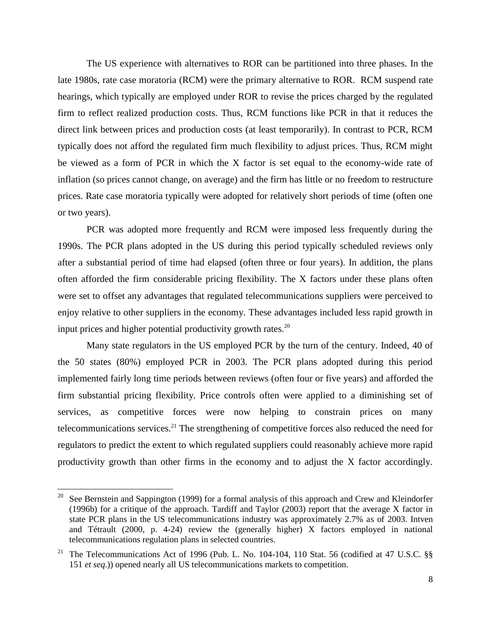The US experience with alternatives to ROR can be partitioned into three phases. In the late 1980s, rate case moratoria (RCM) were the primary alternative to ROR. RCM suspend rate hearings, which typically are employed under ROR to revise the prices charged by the regulated firm to reflect realized production costs. Thus, RCM functions like PCR in that it reduces the direct link between prices and production costs (at least temporarily). In contrast to PCR, RCM typically does not afford the regulated firm much flexibility to adjust prices. Thus, RCM might be viewed as a form of PCR in which the X factor is set equal to the economy-wide rate of inflation (so prices cannot change, on average) and the firm has little or no freedom to restructure prices. Rate case moratoria typically were adopted for relatively short periods of time (often one or two years).

PCR was adopted more frequently and RCM were imposed less frequently during the 1990s. The PCR plans adopted in the US during this period typically scheduled reviews only after a substantial period of time had elapsed (often three or four years). In addition, the plans often afforded the firm considerable pricing flexibility. The X factors under these plans often were set to offset any advantages that regulated telecommunications suppliers were perceived to enjoy relative to other suppliers in the economy. These advantages included less rapid growth in input prices and higher potential productivity growth rates. $20$ 

Many state regulators in the US employed PCR by the turn of the century. Indeed, 40 of the 50 states (80%) employed PCR in 2003. The PCR plans adopted during this period implemented fairly long time periods between reviews (often four or five years) and afforded the firm substantial pricing flexibility. Price controls often were applied to a diminishing set of services, as competitive forces were now helping to constrain prices on many telecommunications services.<sup>21</sup> The strengthening of competitive forces also reduced the need for regulators to predict the extent to which regulated suppliers could reasonably achieve more rapid productivity growth than other firms in the economy and to adjust the X factor accordingly.

<sup>&</sup>lt;sup>20</sup> See Bernstein and Sappington (1999) for a formal analysis of this approach and Crew and Kleindorfer (1996b) for a critique of the approach. Tardiff and Taylor (2003) report that the average X factor in state PCR plans in the US telecommunications industry was approximately 2.7% as of 2003. Intven and Tétrault (2000, p. 4-24) review the (generally higher) X factors employed in national telecommunications regulation plans in selected countries.

The Telecommunications Act of 1996 (Pub. L. No. 104-104, 110 Stat. 56 (codified at 47 U.S.C. §§ 151 *et seq.*)) opened nearly all US telecommunications markets to competition.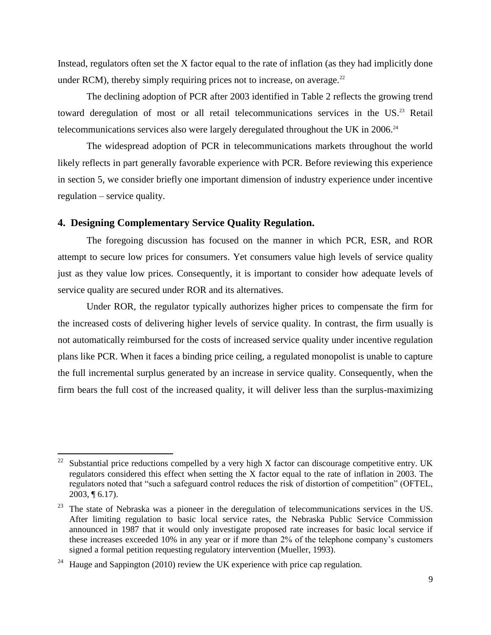Instead, regulators often set the X factor equal to the rate of inflation (as they had implicitly done under RCM), thereby simply requiring prices not to increase, on average. $^{22}$ 

The declining adoption of PCR after 2003 identified in Table 2 reflects the growing trend toward deregulation of most or all retail telecommunications services in the US.<sup>23</sup> Retail telecommunications services also were largely deregulated throughout the UK in 2006.<sup>24</sup>

The widespread adoption of PCR in telecommunications markets throughout the world likely reflects in part generally favorable experience with PCR. Before reviewing this experience in section 5, we consider briefly one important dimension of industry experience under incentive regulation – service quality.

#### **4. Designing Complementary Service Quality Regulation.**

The foregoing discussion has focused on the manner in which PCR, ESR, and ROR attempt to secure low prices for consumers. Yet consumers value high levels of service quality just as they value low prices. Consequently, it is important to consider how adequate levels of service quality are secured under ROR and its alternatives.

Under ROR, the regulator typically authorizes higher prices to compensate the firm for the increased costs of delivering higher levels of service quality. In contrast, the firm usually is not automatically reimbursed for the costs of increased service quality under incentive regulation plans like PCR. When it faces a binding price ceiling, a regulated monopolist is unable to capture the full incremental surplus generated by an increase in service quality. Consequently, when the firm bears the full cost of the increased quality, it will deliver less than the surplus-maximizing

<sup>22</sup> Substantial price reductions compelled by a very high X factor can discourage competitive entry. UK regulators considered this effect when setting the X factor equal to the rate of inflation in 2003. The regulators noted that "such a safeguard control reduces the risk of distortion of competition" (OFTEL, 2003, ¶ 6.17).

<sup>&</sup>lt;sup>23</sup> The state of Nebraska was a pioneer in the deregulation of telecommunications services in the US. After limiting regulation to basic local service rates, the Nebraska Public Service Commission announced in 1987 that it would only investigate proposed rate increases for basic local service if these increases exceeded 10% in any year or if more than 2% of the telephone company"s customers signed a formal petition requesting regulatory intervention (Mueller, 1993).

 $24$  Hauge and Sappington (2010) review the UK experience with price cap regulation.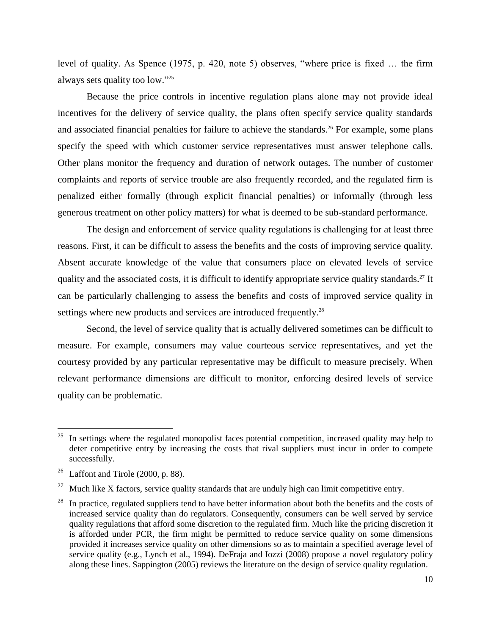level of quality. As Spence (1975, p. 420, note 5) observes, "where price is fixed … the firm always sets quality too low." 25

Because the price controls in incentive regulation plans alone may not provide ideal incentives for the delivery of service quality, the plans often specify service quality standards and associated financial penalties for failure to achieve the standards.<sup>26</sup> For example, some plans specify the speed with which customer service representatives must answer telephone calls. Other plans monitor the frequency and duration of network outages. The number of customer complaints and reports of service trouble are also frequently recorded, and the regulated firm is penalized either formally (through explicit financial penalties) or informally (through less generous treatment on other policy matters) for what is deemed to be sub-standard performance.

The design and enforcement of service quality regulations is challenging for at least three reasons. First, it can be difficult to assess the benefits and the costs of improving service quality. Absent accurate knowledge of the value that consumers place on elevated levels of service quality and the associated costs, it is difficult to identify appropriate service quality standards.<sup>27</sup> It can be particularly challenging to assess the benefits and costs of improved service quality in settings where new products and services are introduced frequently.<sup>28</sup>

Second, the level of service quality that is actually delivered sometimes can be difficult to measure. For example, consumers may value courteous service representatives, and yet the courtesy provided by any particular representative may be difficult to measure precisely. When relevant performance dimensions are difficult to monitor, enforcing desired levels of service quality can be problematic.

<sup>25</sup> In settings where the regulated monopolist faces potential competition, increased quality may help to deter competitive entry by increasing the costs that rival suppliers must incur in order to compete successfully.

<sup>&</sup>lt;sup>26</sup> Laffont and Tirole (2000, p. 88).

Much like X factors, service quality standards that are unduly high can limit competitive entry.

<sup>28</sup> In practice, regulated suppliers tend to have better information about both the benefits and the costs of increased service quality than do regulators. Consequently, consumers can be well served by service quality regulations that afford some discretion to the regulated firm. Much like the pricing discretion it is afforded under PCR, the firm might be permitted to reduce service quality on some dimensions provided it increases service quality on other dimensions so as to maintain a specified average level of service quality (e.g., Lynch et al., 1994). DeFraja and Iozzi (2008) propose a novel regulatory policy along these lines. Sappington (2005) reviews the literature on the design of service quality regulation.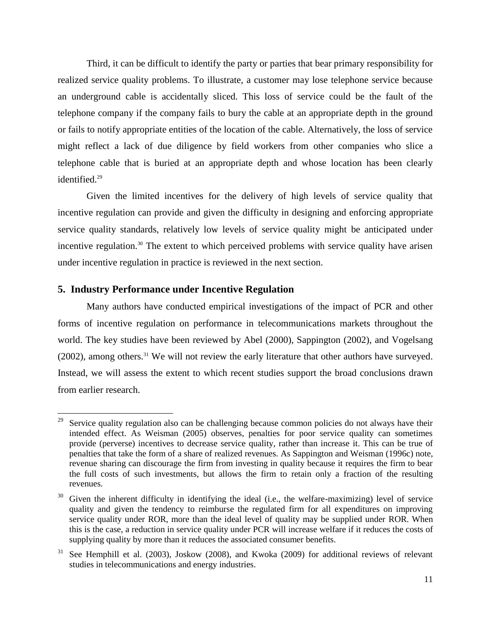Third, it can be difficult to identify the party or parties that bear primary responsibility for realized service quality problems. To illustrate, a customer may lose telephone service because an underground cable is accidentally sliced. This loss of service could be the fault of the telephone company if the company fails to bury the cable at an appropriate depth in the ground or fails to notify appropriate entities of the location of the cable. Alternatively, the loss of service might reflect a lack of due diligence by field workers from other companies who slice a telephone cable that is buried at an appropriate depth and whose location has been clearly identified.<sup>29</sup>

Given the limited incentives for the delivery of high levels of service quality that incentive regulation can provide and given the difficulty in designing and enforcing appropriate service quality standards, relatively low levels of service quality might be anticipated under incentive regulation.<sup>30</sup> The extent to which perceived problems with service quality have arisen under incentive regulation in practice is reviewed in the next section.

#### **5. Industry Performance under Incentive Regulation**

 $\overline{a}$ 

Many authors have conducted empirical investigations of the impact of PCR and other forms of incentive regulation on performance in telecommunications markets throughout the world. The key studies have been reviewed by Abel (2000), Sappington (2002), and Vogelsang (2002), among others.<sup>31</sup> We will not review the early literature that other authors have surveyed. Instead, we will assess the extent to which recent studies support the broad conclusions drawn from earlier research.

 $29$  Service quality regulation also can be challenging because common policies do not always have their intended effect. As Weisman (2005) observes, penalties for poor service quality can sometimes provide (perverse) incentives to decrease service quality, rather than increase it. This can be true of penalties that take the form of a share of realized revenues. As Sappington and Weisman (1996c) note, revenue sharing can discourage the firm from investing in quality because it requires the firm to bear the full costs of such investments, but allows the firm to retain only a fraction of the resulting revenues.

 $30$  Given the inherent difficulty in identifying the ideal (i.e., the welfare-maximizing) level of service quality and given the tendency to reimburse the regulated firm for all expenditures on improving service quality under ROR, more than the ideal level of quality may be supplied under ROR. When this is the case, a reduction in service quality under PCR will increase welfare if it reduces the costs of supplying quality by more than it reduces the associated consumer benefits.

<sup>&</sup>lt;sup>31</sup> See Hemphill et al. (2003), Joskow (2008), and Kwoka (2009) for additional reviews of relevant studies in telecommunications and energy industries.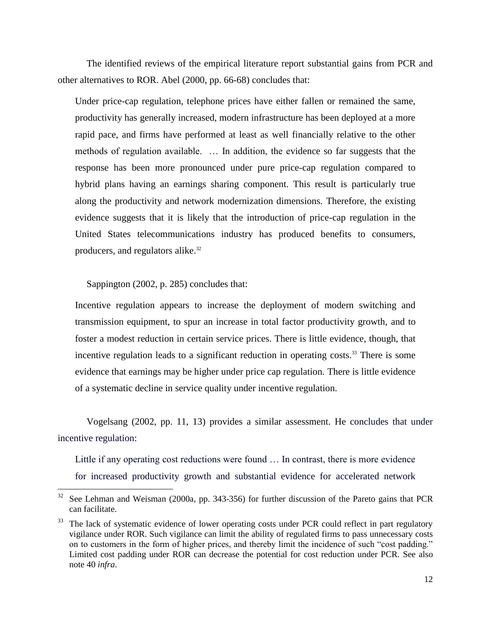The identified reviews of the empirical literature report substantial gains from PCR and other alternatives to ROR. Abel (2000, pp. 66-68) concludes that:

Under price-cap regulation, telephone prices have either fallen or remained the same, productivity has generally increased, modern infrastructure has been deployed at a more rapid pace, and firms have performed at least as well financially relative to the other methods of regulation available. … In addition, the evidence so far suggests that the response has been more pronounced under pure price-cap regulation compared to hybrid plans having an earnings sharing component. This result is particularly true along the productivity and network modernization dimensions. Therefore, the existing evidence suggests that it is likely that the introduction of price-cap regulation in the United States telecommunications industry has produced benefits to consumers, producers, and regulators alike.<sup>32</sup>

Sappington (2002, p. 285) concludes that:

 $\overline{a}$ 

Incentive regulation appears to increase the deployment of modern switching and transmission equipment, to spur an increase in total factor productivity growth, and to foster a modest reduction in certain service prices. There is little evidence, though, that incentive regulation leads to a significant reduction in operating costs.<sup>33</sup> There is some evidence that earnings may be higher under price cap regulation. There is little evidence of a systematic decline in service quality under incentive regulation.

Vogelsang (2002, pp. 11, 13) provides a similar assessment. He concludes that under incentive regulation:

Little if any operating cost reductions were found … In contrast, there is more evidence for increased productivity growth and substantial evidence for accelerated network

 $32$  See Lehman and Weisman (2000a, pp. 343-356) for further discussion of the Pareto gains that PCR can facilitate.

The lack of systematic evidence of lower operating costs under PCR could reflect in part regulatory vigilance under ROR. Such vigilance can limit the ability of regulated firms to pass unnecessary costs on to customers in the form of higher prices, and thereby limit the incidence of such "cost padding." Limited cost padding under ROR can decrease the potential for cost reduction under PCR. See also note 40 *infra*.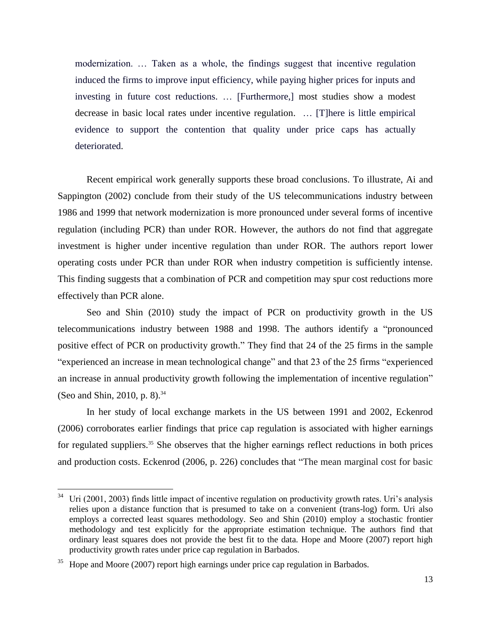modernization. … Taken as a whole, the findings suggest that incentive regulation induced the firms to improve input efficiency, while paying higher prices for inputs and investing in future cost reductions. … [Furthermore,] most studies show a modest decrease in basic local rates under incentive regulation. … [T]here is little empirical evidence to support the contention that quality under price caps has actually deteriorated.

Recent empirical work generally supports these broad conclusions. To illustrate, Ai and Sappington (2002) conclude from their study of the US telecommunications industry between 1986 and 1999 that network modernization is more pronounced under several forms of incentive regulation (including PCR) than under ROR. However, the authors do not find that aggregate investment is higher under incentive regulation than under ROR. The authors report lower operating costs under PCR than under ROR when industry competition is sufficiently intense. This finding suggests that a combination of PCR and competition may spur cost reductions more effectively than PCR alone.

Seo and Shin (2010) study the impact of PCR on productivity growth in the US telecommunications industry between 1988 and 1998. The authors identify a "pronounced positive effect of PCR on productivity growth." They find that 24 of the 25 firms in the sample "experienced an increase in mean technological change" and that 23 of the 25 firms "experienced an increase in annual productivity growth following the implementation of incentive regulation" (Seo and Shin, 2010, p. 8). $34$ 

In her study of local exchange markets in the US between 1991 and 2002, Eckenrod (2006) corroborates earlier findings that price cap regulation is associated with higher earnings for regulated suppliers.<sup>35</sup> She observes that the higher earnings reflect reductions in both prices and production costs. Eckenrod (2006, p. 226) concludes that "The mean marginal cost for basic

<sup>&</sup>lt;sup>34</sup> Uri (2001, 2003) finds little impact of incentive regulation on productivity growth rates. Uri's analysis relies upon a distance function that is presumed to take on a convenient (trans-log) form. Uri also employs a corrected least squares methodology. Seo and Shin (2010) employ a stochastic frontier methodology and test explicitly for the appropriate estimation technique. The authors find that ordinary least squares does not provide the best fit to the data. Hope and Moore (2007) report high productivity growth rates under price cap regulation in Barbados.

<sup>&</sup>lt;sup>35</sup> Hope and Moore (2007) report high earnings under price cap regulation in Barbados.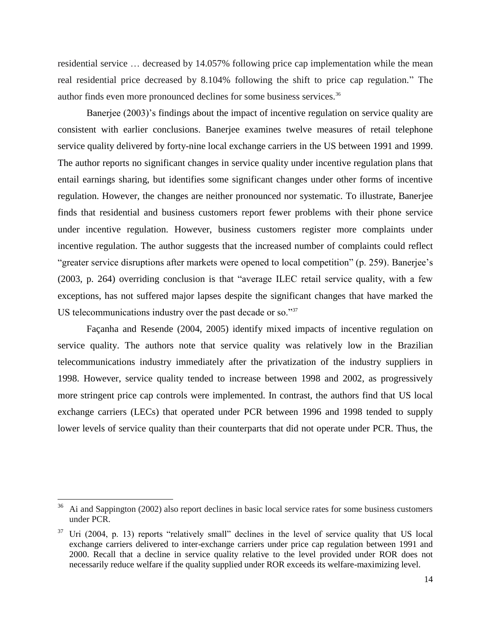residential service … decreased by 14.057% following price cap implementation while the mean real residential price decreased by 8.104% following the shift to price cap regulation." The author finds even more pronounced declines for some business services.<sup>36</sup>

Banerjee (2003)'s findings about the impact of incentive regulation on service quality are consistent with earlier conclusions. Banerjee examines twelve measures of retail telephone service quality delivered by forty-nine local exchange carriers in the US between 1991 and 1999. The author reports no significant changes in service quality under incentive regulation plans that entail earnings sharing, but identifies some significant changes under other forms of incentive regulation. However, the changes are neither pronounced nor systematic. To illustrate, Banerjee finds that residential and business customers report fewer problems with their phone service under incentive regulation. However, business customers register more complaints under incentive regulation. The author suggests that the increased number of complaints could reflect "greater service disruptions after markets were opened to local competition" (p. 259). Banerjee"s (2003, p. 264) overriding conclusion is that "average ILEC retail service quality, with a few exceptions, has not suffered major lapses despite the significant changes that have marked the US telecommunications industry over the past decade or so."<sup>37</sup>

Façanha and Resende (2004, 2005) identify mixed impacts of incentive regulation on service quality. The authors note that service quality was relatively low in the Brazilian telecommunications industry immediately after the privatization of the industry suppliers in 1998. However, service quality tended to increase between 1998 and 2002, as progressively more stringent price cap controls were implemented. In contrast, the authors find that US local exchange carriers (LECs) that operated under PCR between 1996 and 1998 tended to supply lower levels of service quality than their counterparts that did not operate under PCR. Thus, the

<sup>&</sup>lt;sup>36</sup> Ai and Sappington (2002) also report declines in basic local service rates for some business customers under PCR.

<sup>&</sup>lt;sup>37</sup> Uri (2004, p. 13) reports "relatively small" declines in the level of service quality that US local exchange carriers delivered to inter-exchange carriers under price cap regulation between 1991 and 2000. Recall that a decline in service quality relative to the level provided under ROR does not necessarily reduce welfare if the quality supplied under ROR exceeds its welfare-maximizing level.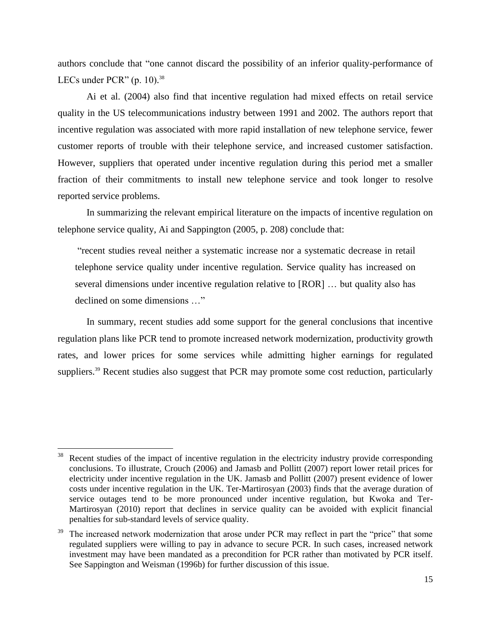authors conclude that "one cannot discard the possibility of an inferior quality-performance of LECs under PCR" (p. 10).<sup>38</sup>

Ai et al. (2004) also find that incentive regulation had mixed effects on retail service quality in the US telecommunications industry between 1991 and 2002. The authors report that incentive regulation was associated with more rapid installation of new telephone service, fewer customer reports of trouble with their telephone service, and increased customer satisfaction. However, suppliers that operated under incentive regulation during this period met a smaller fraction of their commitments to install new telephone service and took longer to resolve reported service problems.

In summarizing the relevant empirical literature on the impacts of incentive regulation on telephone service quality, Ai and Sappington (2005, p. 208) conclude that:

"recent studies reveal neither a systematic increase nor a systematic decrease in retail telephone service quality under incentive regulation. Service quality has increased on several dimensions under incentive regulation relative to [ROR] … but quality also has declined on some dimensions …"

In summary, recent studies add some support for the general conclusions that incentive regulation plans like PCR tend to promote increased network modernization, productivity growth rates, and lower prices for some services while admitting higher earnings for regulated suppliers.<sup>39</sup> Recent studies also suggest that PCR may promote some cost reduction, particularly

Recent studies of the impact of incentive regulation in the electricity industry provide corresponding conclusions. To illustrate, Crouch (2006) and Jamasb and Pollitt (2007) report lower retail prices for electricity under incentive regulation in the UK. Jamasb and Pollitt (2007) present evidence of lower costs under incentive regulation in the UK. Ter-Martirosyan (2003) finds that the average duration of service outages tend to be more pronounced under incentive regulation, but Kwoka and Ter-Martirosyan (2010) report that declines in service quality can be avoided with explicit financial penalties for sub-standard levels of service quality.

The increased network modernization that arose under PCR may reflect in part the "price" that some regulated suppliers were willing to pay in advance to secure PCR. In such cases, increased network investment may have been mandated as a precondition for PCR rather than motivated by PCR itself. See Sappington and Weisman (1996b) for further discussion of this issue.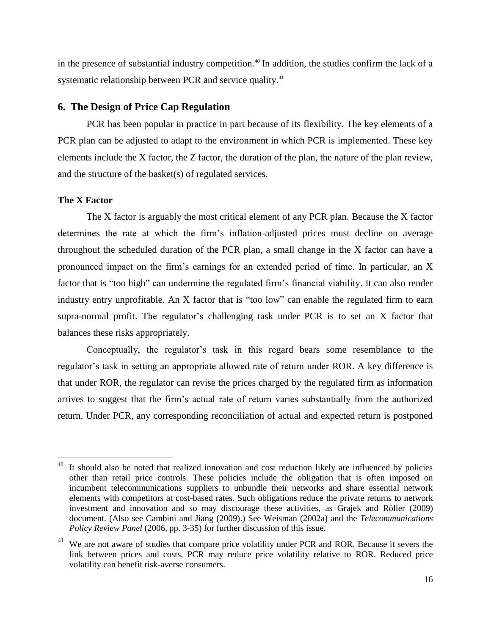in the presence of substantial industry competition.<sup>40</sup> In addition, the studies confirm the lack of a systematic relationship between PCR and service quality.<sup>41</sup>

#### **6. The Design of Price Cap Regulation**

PCR has been popular in practice in part because of its flexibility. The key elements of a PCR plan can be adjusted to adapt to the environment in which PCR is implemented. These key elements include the X factor, the Z factor, the duration of the plan, the nature of the plan review, and the structure of the basket(s) of regulated services.

## **The X Factor**

 $\overline{a}$ 

The X factor is arguably the most critical element of any PCR plan. Because the X factor determines the rate at which the firm"s inflation-adjusted prices must decline on average throughout the scheduled duration of the PCR plan, a small change in the X factor can have a pronounced impact on the firm"s earnings for an extended period of time. In particular, an X factor that is "too high" can undermine the regulated firm's financial viability. It can also render industry entry unprofitable. An X factor that is "too low" can enable the regulated firm to earn supra-normal profit. The regulator's challenging task under PCR is to set an X factor that balances these risks appropriately.

Conceptually, the regulator's task in this regard bears some resemblance to the regulator's task in setting an appropriate allowed rate of return under ROR. A key difference is that under ROR, the regulator can revise the prices charged by the regulated firm as information arrives to suggest that the firm"s actual rate of return varies substantially from the authorized return. Under PCR, any corresponding reconciliation of actual and expected return is postponed

It should also be noted that realized innovation and cost reduction likely are influenced by policies other than retail price controls. These policies include the obligation that is often imposed on incumbent telecommunications suppliers to unbundle their networks and share essential network elements with competitors at cost-based rates. Such obligations reduce the private returns to network investment and innovation and so may discourage these activities, as Grajek and Röller (2009) document. (Also see Cambini and Jiang (2009).) See Weisman (2002a) and the *Telecommunications Policy Review Panel* (2006, pp. 3-35) for further discussion of this issue.

<sup>&</sup>lt;sup>41</sup> We are not aware of studies that compare price volatility under PCR and ROR. Because it severs the link between prices and costs, PCR may reduce price volatility relative to ROR. Reduced price volatility can benefit risk-averse consumers.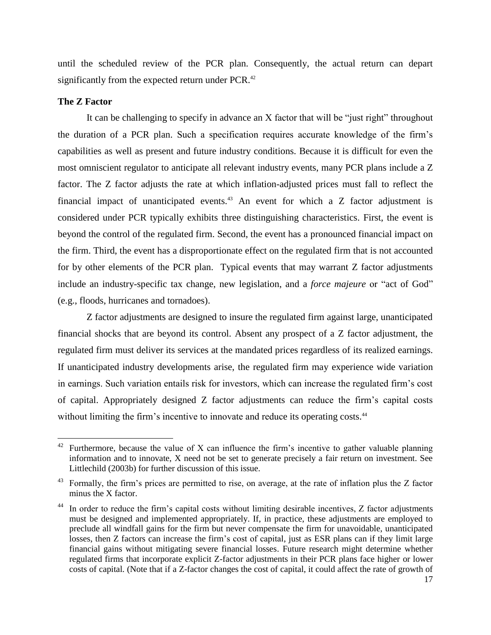until the scheduled review of the PCR plan. Consequently, the actual return can depart significantly from the expected return under PCR.<sup>42</sup>

# **The Z Factor**

It can be challenging to specify in advance an X factor that will be "just right" throughout the duration of a PCR plan. Such a specification requires accurate knowledge of the firm"s capabilities as well as present and future industry conditions. Because it is difficult for even the most omniscient regulator to anticipate all relevant industry events, many PCR plans include a Z factor. The Z factor adjusts the rate at which inflation-adjusted prices must fall to reflect the financial impact of unanticipated events.<sup>43</sup> An event for which a  $Z$  factor adjustment is considered under PCR typically exhibits three distinguishing characteristics. First, the event is beyond the control of the regulated firm. Second, the event has a pronounced financial impact on the firm. Third, the event has a disproportionate effect on the regulated firm that is not accounted for by other elements of the PCR plan. Typical events that may warrant Z factor adjustments include an industry-specific tax change, new legislation, and a *force majeure* or "act of God" (e.g., floods, hurricanes and tornadoes).

Z factor adjustments are designed to insure the regulated firm against large, unanticipated financial shocks that are beyond its control. Absent any prospect of a Z factor adjustment, the regulated firm must deliver its services at the mandated prices regardless of its realized earnings. If unanticipated industry developments arise, the regulated firm may experience wide variation in earnings. Such variation entails risk for investors, which can increase the regulated firm"s cost of capital. Appropriately designed Z factor adjustments can reduce the firm"s capital costs without limiting the firm's incentive to innovate and reduce its operating costs.<sup>44</sup>

<sup>42</sup> Furthermore, because the value of X can influence the firm's incentive to gather valuable planning information and to innovate, X need not be set to generate precisely a fair return on investment. See Littlechild (2003b) for further discussion of this issue.

<sup>&</sup>lt;sup>43</sup> Formally, the firm's prices are permitted to rise, on average, at the rate of inflation plus the Z factor minus the X factor.

<sup>&</sup>lt;sup>44</sup> In order to reduce the firm's capital costs without limiting desirable incentives, Z factor adjustments must be designed and implemented appropriately. If, in practice, these adjustments are employed to preclude all windfall gains for the firm but never compensate the firm for unavoidable, unanticipated losses, then Z factors can increase the firm's cost of capital, just as ESR plans can if they limit large financial gains without mitigating severe financial losses. Future research might determine whether regulated firms that incorporate explicit Z-factor adjustments in their PCR plans face higher or lower costs of capital*.* (Note that if a Z-factor changes the cost of capital, it could affect the rate of growth of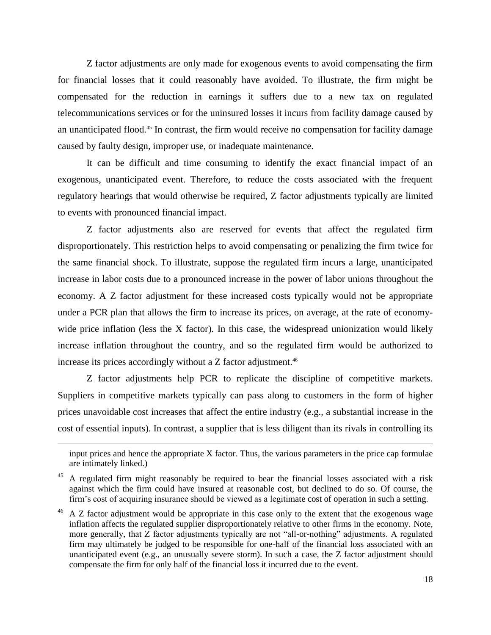Z factor adjustments are only made for exogenous events to avoid compensating the firm for financial losses that it could reasonably have avoided. To illustrate, the firm might be compensated for the reduction in earnings it suffers due to a new tax on regulated telecommunications services or for the uninsured losses it incurs from facility damage caused by an unanticipated flood.<sup>45</sup> In contrast, the firm would receive no compensation for facility damage caused by faulty design, improper use, or inadequate maintenance.

It can be difficult and time consuming to identify the exact financial impact of an exogenous, unanticipated event. Therefore, to reduce the costs associated with the frequent regulatory hearings that would otherwise be required, Z factor adjustments typically are limited to events with pronounced financial impact.

Z factor adjustments also are reserved for events that affect the regulated firm disproportionately. This restriction helps to avoid compensating or penalizing the firm twice for the same financial shock. To illustrate, suppose the regulated firm incurs a large, unanticipated increase in labor costs due to a pronounced increase in the power of labor unions throughout the economy. A Z factor adjustment for these increased costs typically would not be appropriate under a PCR plan that allows the firm to increase its prices, on average, at the rate of economywide price inflation (less the X factor). In this case, the widespread unionization would likely increase inflation throughout the country, and so the regulated firm would be authorized to increase its prices accordingly without a  $Z$  factor adjustment.<sup>46</sup>

Z factor adjustments help PCR to replicate the discipline of competitive markets. Suppliers in competitive markets typically can pass along to customers in the form of higher prices unavoidable cost increases that affect the entire industry (e.g., a substantial increase in the cost of essential inputs). In contrast, a supplier that is less diligent than its rivals in controlling its

input prices and hence the appropriate X factor. Thus, the various parameters in the price cap formulae are intimately linked.)

<sup>&</sup>lt;sup>45</sup> A regulated firm might reasonably be required to bear the financial losses associated with a risk against which the firm could have insured at reasonable cost, but declined to do so. Of course, the firm"s cost of acquiring insurance should be viewed as a legitimate cost of operation in such a setting.

 $46$  A Z factor adjustment would be appropriate in this case only to the extent that the exogenous wage inflation affects the regulated supplier disproportionately relative to other firms in the economy. Note, more generally, that Z factor adjustments typically are not "all-or-nothing" adjustments. A regulated firm may ultimately be judged to be responsible for one-half of the financial loss associated with an unanticipated event (e.g., an unusually severe storm). In such a case, the Z factor adjustment should compensate the firm for only half of the financial loss it incurred due to the event.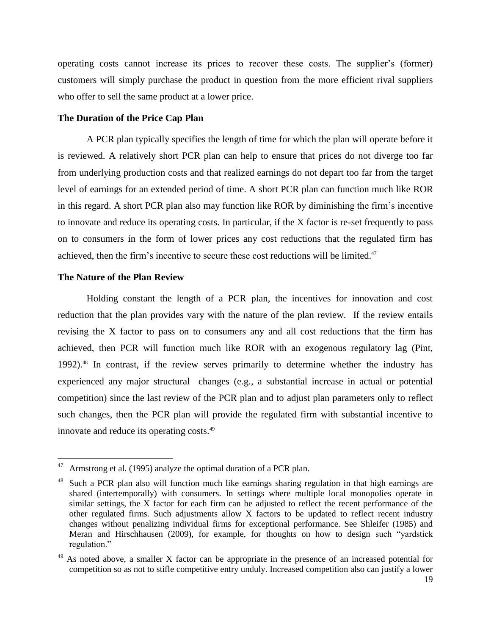operating costs cannot increase its prices to recover these costs. The supplier"s (former) customers will simply purchase the product in question from the more efficient rival suppliers who offer to sell the same product at a lower price.

#### **The Duration of the Price Cap Plan**

A PCR plan typically specifies the length of time for which the plan will operate before it is reviewed. A relatively short PCR plan can help to ensure that prices do not diverge too far from underlying production costs and that realized earnings do not depart too far from the target level of earnings for an extended period of time. A short PCR plan can function much like ROR in this regard. A short PCR plan also may function like ROR by diminishing the firm"s incentive to innovate and reduce its operating costs. In particular, if the X factor is re-set frequently to pass on to consumers in the form of lower prices any cost reductions that the regulated firm has achieved, then the firm's incentive to secure these cost reductions will be limited.<sup>47</sup>

## **The Nature of the Plan Review**

 $\overline{a}$ 

Holding constant the length of a PCR plan, the incentives for innovation and cost reduction that the plan provides vary with the nature of the plan review. If the review entails revising the X factor to pass on to consumers any and all cost reductions that the firm has achieved, then PCR will function much like ROR with an exogenous regulatory lag (Pint, 1992).<sup>48</sup> In contrast, if the review serves primarily to determine whether the industry has experienced any major structural changes (e.g., a substantial increase in actual or potential competition) since the last review of the PCR plan and to adjust plan parameters only to reflect such changes, then the PCR plan will provide the regulated firm with substantial incentive to innovate and reduce its operating costs.<sup>49</sup>

Armstrong et al. (1995) analyze the optimal duration of a PCR plan.

Such a PCR plan also will function much like earnings sharing regulation in that high earnings are shared (intertemporally) with consumers. In settings where multiple local monopolies operate in similar settings, the X factor for each firm can be adjusted to reflect the recent performance of the other regulated firms. Such adjustments allow X factors to be updated to reflect recent industry changes without penalizing individual firms for exceptional performance. See Shleifer (1985) and Meran and Hirschhausen (2009), for example, for thoughts on how to design such "yardstick regulation."

As noted above, a smaller X factor can be appropriate in the presence of an increased potential for competition so as not to stifle competitive entry unduly. Increased competition also can justify a lower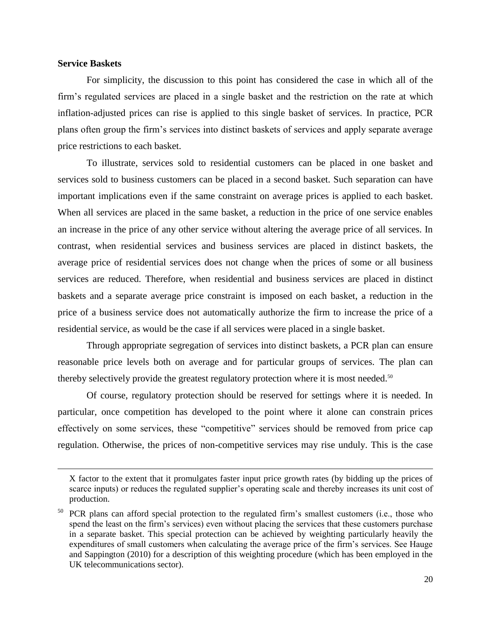## **Service Baskets**

 $\overline{a}$ 

For simplicity, the discussion to this point has considered the case in which all of the firm"s regulated services are placed in a single basket and the restriction on the rate at which inflation-adjusted prices can rise is applied to this single basket of services. In practice, PCR plans often group the firm"s services into distinct baskets of services and apply separate average price restrictions to each basket.

To illustrate, services sold to residential customers can be placed in one basket and services sold to business customers can be placed in a second basket. Such separation can have important implications even if the same constraint on average prices is applied to each basket. When all services are placed in the same basket, a reduction in the price of one service enables an increase in the price of any other service without altering the average price of all services. In contrast, when residential services and business services are placed in distinct baskets, the average price of residential services does not change when the prices of some or all business services are reduced. Therefore, when residential and business services are placed in distinct baskets and a separate average price constraint is imposed on each basket, a reduction in the price of a business service does not automatically authorize the firm to increase the price of a residential service, as would be the case if all services were placed in a single basket.

Through appropriate segregation of services into distinct baskets, a PCR plan can ensure reasonable price levels both on average and for particular groups of services. The plan can thereby selectively provide the greatest regulatory protection where it is most needed.<sup>50</sup>

Of course, regulatory protection should be reserved for settings where it is needed. In particular, once competition has developed to the point where it alone can constrain prices effectively on some services, these "competitive" services should be removed from price cap regulation. Otherwise, the prices of non-competitive services may rise unduly. This is the case

X factor to the extent that it promulgates faster input price growth rates (by bidding up the prices of scarce inputs) or reduces the regulated supplier's operating scale and thereby increases its unit cost of production.

<sup>&</sup>lt;sup>50</sup> PCR plans can afford special protection to the regulated firm's smallest customers (i.e., those who spend the least on the firm's services) even without placing the services that these customers purchase in a separate basket. This special protection can be achieved by weighting particularly heavily the expenditures of small customers when calculating the average price of the firm"s services. See Hauge and Sappington (2010) for a description of this weighting procedure (which has been employed in the UK telecommunications sector).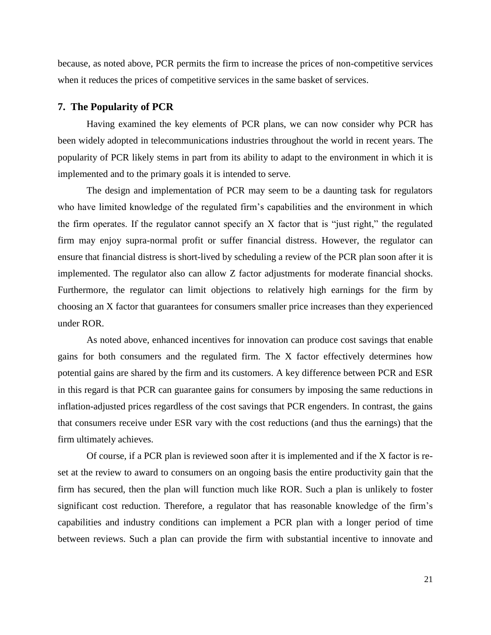because, as noted above, PCR permits the firm to increase the prices of non-competitive services when it reduces the prices of competitive services in the same basket of services.

#### **7. The Popularity of PCR**

Having examined the key elements of PCR plans, we can now consider why PCR has been widely adopted in telecommunications industries throughout the world in recent years. The popularity of PCR likely stems in part from its ability to adapt to the environment in which it is implemented and to the primary goals it is intended to serve.

The design and implementation of PCR may seem to be a daunting task for regulators who have limited knowledge of the regulated firm"s capabilities and the environment in which the firm operates. If the regulator cannot specify an X factor that is "just right," the regulated firm may enjoy supra-normal profit or suffer financial distress. However, the regulator can ensure that financial distress is short-lived by scheduling a review of the PCR plan soon after it is implemented. The regulator also can allow Z factor adjustments for moderate financial shocks. Furthermore, the regulator can limit objections to relatively high earnings for the firm by choosing an X factor that guarantees for consumers smaller price increases than they experienced under ROR.

As noted above, enhanced incentives for innovation can produce cost savings that enable gains for both consumers and the regulated firm. The X factor effectively determines how potential gains are shared by the firm and its customers. A key difference between PCR and ESR in this regard is that PCR can guarantee gains for consumers by imposing the same reductions in inflation-adjusted prices regardless of the cost savings that PCR engenders. In contrast, the gains that consumers receive under ESR vary with the cost reductions (and thus the earnings) that the firm ultimately achieves.

Of course, if a PCR plan is reviewed soon after it is implemented and if the X factor is reset at the review to award to consumers on an ongoing basis the entire productivity gain that the firm has secured, then the plan will function much like ROR. Such a plan is unlikely to foster significant cost reduction. Therefore, a regulator that has reasonable knowledge of the firm's capabilities and industry conditions can implement a PCR plan with a longer period of time between reviews. Such a plan can provide the firm with substantial incentive to innovate and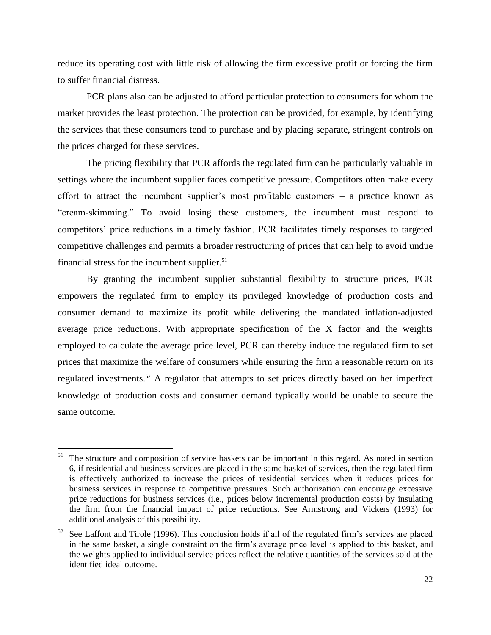reduce its operating cost with little risk of allowing the firm excessive profit or forcing the firm to suffer financial distress.

PCR plans also can be adjusted to afford particular protection to consumers for whom the market provides the least protection. The protection can be provided, for example, by identifying the services that these consumers tend to purchase and by placing separate, stringent controls on the prices charged for these services.

The pricing flexibility that PCR affords the regulated firm can be particularly valuable in settings where the incumbent supplier faces competitive pressure. Competitors often make every effort to attract the incumbent supplier's most profitable customers – a practice known as "cream-skimming." To avoid losing these customers, the incumbent must respond to competitors" price reductions in a timely fashion. PCR facilitates timely responses to targeted competitive challenges and permits a broader restructuring of prices that can help to avoid undue financial stress for the incumbent supplier. $51$ 

By granting the incumbent supplier substantial flexibility to structure prices, PCR empowers the regulated firm to employ its privileged knowledge of production costs and consumer demand to maximize its profit while delivering the mandated inflation-adjusted average price reductions. With appropriate specification of the X factor and the weights employed to calculate the average price level, PCR can thereby induce the regulated firm to set prices that maximize the welfare of consumers while ensuring the firm a reasonable return on its regulated investments.<sup>52</sup> A regulator that attempts to set prices directly based on her imperfect knowledge of production costs and consumer demand typically would be unable to secure the same outcome.

 $51$  The structure and composition of service baskets can be important in this regard. As noted in section 6, if residential and business services are placed in the same basket of services, then the regulated firm is effectively authorized to increase the prices of residential services when it reduces prices for business services in response to competitive pressures. Such authorization can encourage excessive price reductions for business services (i.e., prices below incremental production costs) by insulating the firm from the financial impact of price reductions. See Armstrong and Vickers (1993) for additional analysis of this possibility.

See Laffont and Tirole (1996). This conclusion holds if all of the regulated firm's services are placed in the same basket, a single constraint on the firm"s average price level is applied to this basket, and the weights applied to individual service prices reflect the relative quantities of the services sold at the identified ideal outcome.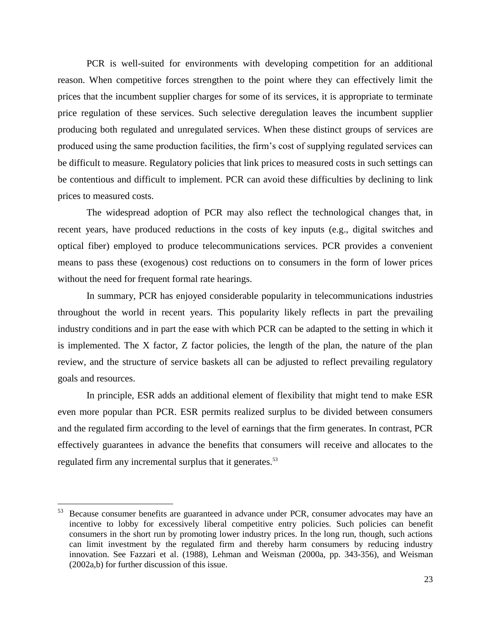PCR is well-suited for environments with developing competition for an additional reason. When competitive forces strengthen to the point where they can effectively limit the prices that the incumbent supplier charges for some of its services, it is appropriate to terminate price regulation of these services. Such selective deregulation leaves the incumbent supplier producing both regulated and unregulated services. When these distinct groups of services are produced using the same production facilities, the firm"s cost of supplying regulated services can be difficult to measure. Regulatory policies that link prices to measured costs in such settings can be contentious and difficult to implement. PCR can avoid these difficulties by declining to link prices to measured costs.

The widespread adoption of PCR may also reflect the technological changes that, in recent years, have produced reductions in the costs of key inputs (e.g., digital switches and optical fiber) employed to produce telecommunications services. PCR provides a convenient means to pass these (exogenous) cost reductions on to consumers in the form of lower prices without the need for frequent formal rate hearings.

In summary, PCR has enjoyed considerable popularity in telecommunications industries throughout the world in recent years. This popularity likely reflects in part the prevailing industry conditions and in part the ease with which PCR can be adapted to the setting in which it is implemented. The X factor, Z factor policies, the length of the plan, the nature of the plan review, and the structure of service baskets all can be adjusted to reflect prevailing regulatory goals and resources.

In principle, ESR adds an additional element of flexibility that might tend to make ESR even more popular than PCR. ESR permits realized surplus to be divided between consumers and the regulated firm according to the level of earnings that the firm generates. In contrast, PCR effectively guarantees in advance the benefits that consumers will receive and allocates to the regulated firm any incremental surplus that it generates.<sup>53</sup>

<sup>&</sup>lt;sup>53</sup> Because consumer benefits are guaranteed in advance under PCR, consumer advocates may have an incentive to lobby for excessively liberal competitive entry policies. Such policies can benefit consumers in the short run by promoting lower industry prices. In the long run, though, such actions can limit investment by the regulated firm and thereby harm consumers by reducing industry innovation. See Fazzari et al. (1988), Lehman and Weisman (2000a, pp. 343-356), and Weisman (2002a,b) for further discussion of this issue.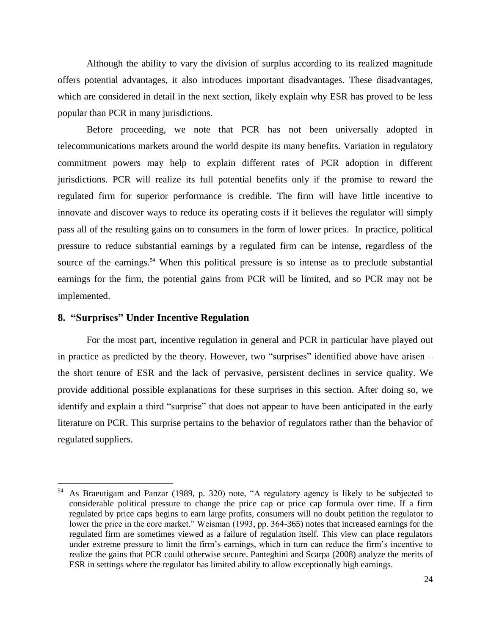Although the ability to vary the division of surplus according to its realized magnitude offers potential advantages, it also introduces important disadvantages. These disadvantages, which are considered in detail in the next section, likely explain why ESR has proved to be less popular than PCR in many jurisdictions.

Before proceeding, we note that PCR has not been universally adopted in telecommunications markets around the world despite its many benefits. Variation in regulatory commitment powers may help to explain different rates of PCR adoption in different jurisdictions. PCR will realize its full potential benefits only if the promise to reward the regulated firm for superior performance is credible. The firm will have little incentive to innovate and discover ways to reduce its operating costs if it believes the regulator will simply pass all of the resulting gains on to consumers in the form of lower prices. In practice, political pressure to reduce substantial earnings by a regulated firm can be intense, regardless of the source of the earnings.<sup>54</sup> When this political pressure is so intense as to preclude substantial earnings for the firm, the potential gains from PCR will be limited, and so PCR may not be implemented.

# **8. "Surprises" Under Incentive Regulation**

 $\overline{a}$ 

For the most part, incentive regulation in general and PCR in particular have played out in practice as predicted by the theory. However, two "surprises" identified above have arisen – the short tenure of ESR and the lack of pervasive, persistent declines in service quality. We provide additional possible explanations for these surprises in this section. After doing so, we identify and explain a third "surprise" that does not appear to have been anticipated in the early literature on PCR. This surprise pertains to the behavior of regulators rather than the behavior of regulated suppliers.

<sup>54</sup> As Braeutigam and Panzar (1989, p. 320) note, "A regulatory agency is likely to be subjected to considerable political pressure to change the price cap or price cap formula over time. If a firm regulated by price caps begins to earn large profits, consumers will no doubt petition the regulator to lower the price in the core market." Weisman (1993, pp. 364-365) notes that increased earnings for the regulated firm are sometimes viewed as a failure of regulation itself. This view can place regulators under extreme pressure to limit the firm"s earnings, which in turn can reduce the firm"s incentive to realize the gains that PCR could otherwise secure. Panteghini and Scarpa (2008) analyze the merits of ESR in settings where the regulator has limited ability to allow exceptionally high earnings.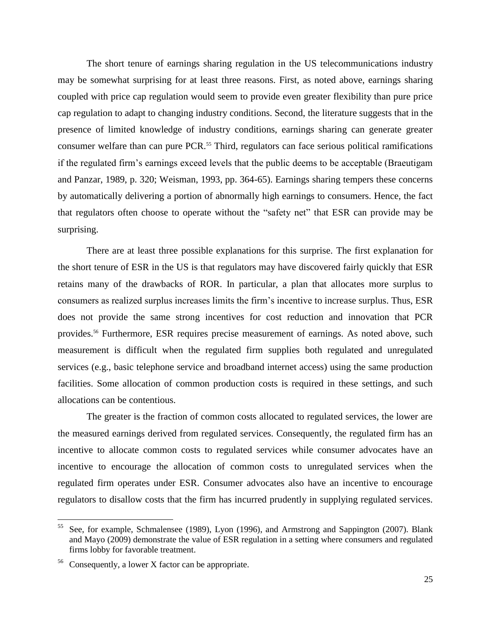The short tenure of earnings sharing regulation in the US telecommunications industry may be somewhat surprising for at least three reasons. First, as noted above, earnings sharing coupled with price cap regulation would seem to provide even greater flexibility than pure price cap regulation to adapt to changing industry conditions. Second, the literature suggests that in the presence of limited knowledge of industry conditions, earnings sharing can generate greater consumer welfare than can pure PCR.<sup>55</sup> Third, regulators can face serious political ramifications if the regulated firm"s earnings exceed levels that the public deems to be acceptable (Braeutigam and Panzar, 1989, p. 320; Weisman, 1993, pp. 364-65). Earnings sharing tempers these concerns by automatically delivering a portion of abnormally high earnings to consumers. Hence, the fact that regulators often choose to operate without the "safety net" that ESR can provide may be surprising.

There are at least three possible explanations for this surprise. The first explanation for the short tenure of ESR in the US is that regulators may have discovered fairly quickly that ESR retains many of the drawbacks of ROR. In particular, a plan that allocates more surplus to consumers as realized surplus increases limits the firm"s incentive to increase surplus. Thus, ESR does not provide the same strong incentives for cost reduction and innovation that PCR provides.<sup>56</sup> Furthermore, ESR requires precise measurement of earnings. As noted above, such measurement is difficult when the regulated firm supplies both regulated and unregulated services (e.g., basic telephone service and broadband internet access) using the same production facilities. Some allocation of common production costs is required in these settings, and such allocations can be contentious.

The greater is the fraction of common costs allocated to regulated services, the lower are the measured earnings derived from regulated services. Consequently, the regulated firm has an incentive to allocate common costs to regulated services while consumer advocates have an incentive to encourage the allocation of common costs to unregulated services when the regulated firm operates under ESR. Consumer advocates also have an incentive to encourage regulators to disallow costs that the firm has incurred prudently in supplying regulated services.

<sup>&</sup>lt;sup>55</sup> See, for example, Schmalensee (1989), Lyon (1996), and Armstrong and Sappington (2007). Blank and Mayo (2009) demonstrate the value of ESR regulation in a setting where consumers and regulated firms lobby for favorable treatment.

<sup>56</sup> Consequently, a lower X factor can be appropriate.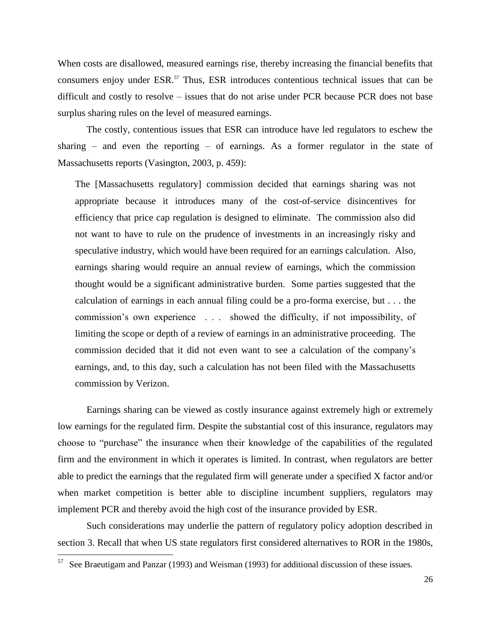When costs are disallowed, measured earnings rise, thereby increasing the financial benefits that consumers enjoy under ESR.<sup>57</sup> Thus, ESR introduces contentious technical issues that can be difficult and costly to resolve – issues that do not arise under PCR because PCR does not base surplus sharing rules on the level of measured earnings.

The costly, contentious issues that ESR can introduce have led regulators to eschew the sharing – and even the reporting – of earnings. As a former regulator in the state of Massachusetts reports (Vasington, 2003, p. 459):

The [Massachusetts regulatory] commission decided that earnings sharing was not appropriate because it introduces many of the cost-of-service disincentives for efficiency that price cap regulation is designed to eliminate. The commission also did not want to have to rule on the prudence of investments in an increasingly risky and speculative industry, which would have been required for an earnings calculation. Also, earnings sharing would require an annual review of earnings, which the commission thought would be a significant administrative burden. Some parties suggested that the calculation of earnings in each annual filing could be a pro-forma exercise, but . . . the commission"s own experience . . . showed the difficulty, if not impossibility, of limiting the scope or depth of a review of earnings in an administrative proceeding. The commission decided that it did not even want to see a calculation of the company"s earnings, and, to this day, such a calculation has not been filed with the Massachusetts commission by Verizon.

Earnings sharing can be viewed as costly insurance against extremely high or extremely low earnings for the regulated firm. Despite the substantial cost of this insurance, regulators may choose to "purchase" the insurance when their knowledge of the capabilities of the regulated firm and the environment in which it operates is limited. In contrast, when regulators are better able to predict the earnings that the regulated firm will generate under a specified X factor and/or when market competition is better able to discipline incumbent suppliers, regulators may implement PCR and thereby avoid the high cost of the insurance provided by ESR.

Such considerations may underlie the pattern of regulatory policy adoption described in section 3. Recall that when US state regulators first considered alternatives to ROR in the 1980s,

 $57$  See Braeutigam and Panzar (1993) and Weisman (1993) for additional discussion of these issues.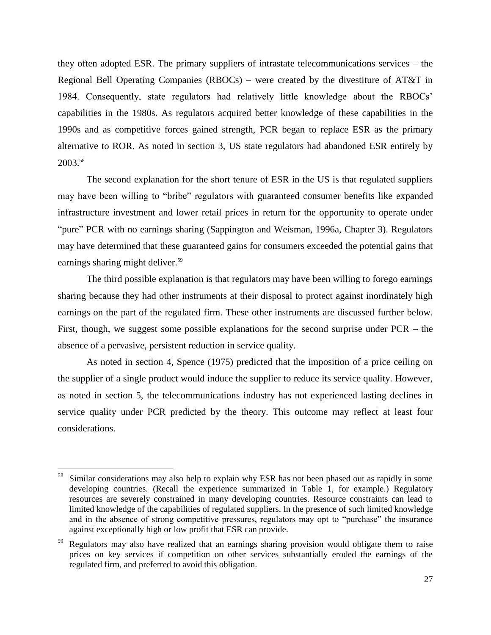they often adopted ESR. The primary suppliers of intrastate telecommunications services – the Regional Bell Operating Companies (RBOCs) – were created by the divestiture of AT&T in 1984. Consequently, state regulators had relatively little knowledge about the RBOCs" capabilities in the 1980s. As regulators acquired better knowledge of these capabilities in the 1990s and as competitive forces gained strength, PCR began to replace ESR as the primary alternative to ROR. As noted in section 3, US state regulators had abandoned ESR entirely by 2003.<sup>58</sup>

The second explanation for the short tenure of ESR in the US is that regulated suppliers may have been willing to "bribe" regulators with guaranteed consumer benefits like expanded infrastructure investment and lower retail prices in return for the opportunity to operate under "pure" PCR with no earnings sharing (Sappington and Weisman, 1996a, Chapter 3). Regulators may have determined that these guaranteed gains for consumers exceeded the potential gains that earnings sharing might deliver.<sup>59</sup>

The third possible explanation is that regulators may have been willing to forego earnings sharing because they had other instruments at their disposal to protect against inordinately high earnings on the part of the regulated firm. These other instruments are discussed further below. First, though, we suggest some possible explanations for the second surprise under PCR – the absence of a pervasive, persistent reduction in service quality.

As noted in section 4, Spence (1975) predicted that the imposition of a price ceiling on the supplier of a single product would induce the supplier to reduce its service quality. However, as noted in section 5, the telecommunications industry has not experienced lasting declines in service quality under PCR predicted by the theory. This outcome may reflect at least four considerations.

<sup>&</sup>lt;sup>58</sup> Similar considerations may also help to explain why ESR has not been phased out as rapidly in some developing countries. (Recall the experience summarized in Table 1, for example.) Regulatory resources are severely constrained in many developing countries. Resource constraints can lead to limited knowledge of the capabilities of regulated suppliers. In the presence of such limited knowledge and in the absence of strong competitive pressures, regulators may opt to "purchase" the insurance against exceptionally high or low profit that ESR can provide.

<sup>59</sup> Regulators may also have realized that an earnings sharing provision would obligate them to raise prices on key services if competition on other services substantially eroded the earnings of the regulated firm, and preferred to avoid this obligation.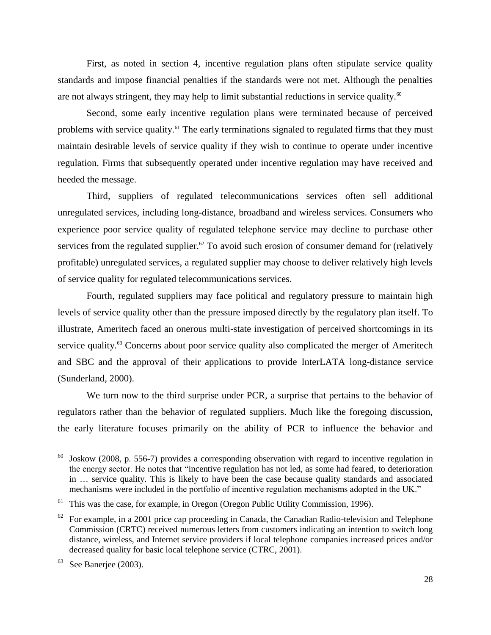First, as noted in section 4, incentive regulation plans often stipulate service quality standards and impose financial penalties if the standards were not met. Although the penalties are not always stringent, they may help to limit substantial reductions in service quality. $\frac{60}{100}$ 

Second, some early incentive regulation plans were terminated because of perceived problems with service quality.<sup>61</sup> The early terminations signaled to regulated firms that they must maintain desirable levels of service quality if they wish to continue to operate under incentive regulation. Firms that subsequently operated under incentive regulation may have received and heeded the message.

Third, suppliers of regulated telecommunications services often sell additional unregulated services, including long-distance, broadband and wireless services. Consumers who experience poor service quality of regulated telephone service may decline to purchase other services from the regulated supplier.<sup>62</sup> To avoid such erosion of consumer demand for (relatively profitable) unregulated services, a regulated supplier may choose to deliver relatively high levels of service quality for regulated telecommunications services.

Fourth, regulated suppliers may face political and regulatory pressure to maintain high levels of service quality other than the pressure imposed directly by the regulatory plan itself. To illustrate, Ameritech faced an onerous multi-state investigation of perceived shortcomings in its service quality.<sup>63</sup> Concerns about poor service quality also complicated the merger of Ameritech and SBC and the approval of their applications to provide InterLATA long-distance service (Sunderland, 2000).

We turn now to the third surprise under PCR, a surprise that pertains to the behavior of regulators rather than the behavior of regulated suppliers. Much like the foregoing discussion, the early literature focuses primarily on the ability of PCR to influence the behavior and

 $60$  Joskow (2008, p. 556-7) provides a corresponding observation with regard to incentive regulation in the energy sector. He notes that "incentive regulation has not led, as some had feared, to deterioration in … service quality. This is likely to have been the case because quality standards and associated mechanisms were included in the portfolio of incentive regulation mechanisms adopted in the UK."

 $61$  This was the case, for example, in Oregon (Oregon Public Utility Commission, 1996).

<sup>62</sup> For example, in a 2001 price cap proceeding in Canada, the Canadian Radio-television and Telephone Commission (CRTC) received numerous letters from customers indicating an intention to switch long distance, wireless, and Internet service providers if local telephone companies increased prices and/or decreased quality for basic local telephone service (CTRC, 2001).

 $63$  See Banerjee (2003).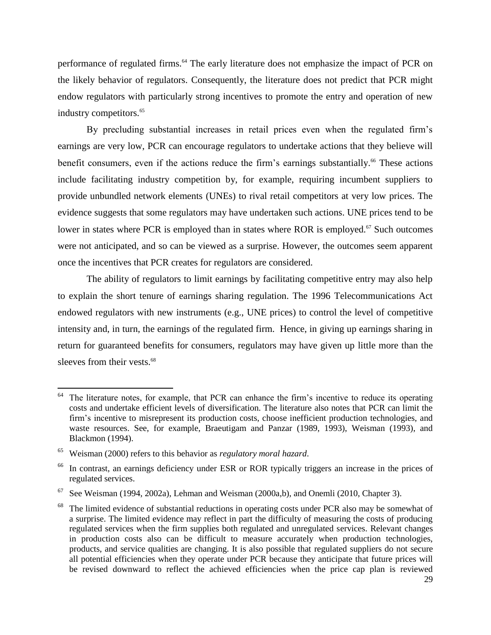performance of regulated firms.<sup>64</sup> The early literature does not emphasize the impact of PCR on the likely behavior of regulators. Consequently, the literature does not predict that PCR might endow regulators with particularly strong incentives to promote the entry and operation of new industry competitors.<sup>65</sup>

By precluding substantial increases in retail prices even when the regulated firm"s earnings are very low, PCR can encourage regulators to undertake actions that they believe will benefit consumers, even if the actions reduce the firm's earnings substantially.<sup>66</sup> These actions include facilitating industry competition by, for example, requiring incumbent suppliers to provide unbundled network elements (UNEs) to rival retail competitors at very low prices. The evidence suggests that some regulators may have undertaken such actions. UNE prices tend to be lower in states where PCR is employed than in states where ROR is employed.<sup>67</sup> Such outcomes were not anticipated, and so can be viewed as a surprise. However, the outcomes seem apparent once the incentives that PCR creates for regulators are considered.

The ability of regulators to limit earnings by facilitating competitive entry may also help to explain the short tenure of earnings sharing regulation. The 1996 Telecommunications Act endowed regulators with new instruments (e.g., UNE prices) to control the level of competitive intensity and, in turn, the earnings of the regulated firm. Hence, in giving up earnings sharing in return for guaranteed benefits for consumers, regulators may have given up little more than the sleeves from their vests.<sup>68</sup>

<sup>&</sup>lt;sup>64</sup> The literature notes, for example, that PCR can enhance the firm's incentive to reduce its operating costs and undertake efficient levels of diversification. The literature also notes that PCR can limit the firm"s incentive to misrepresent its production costs, choose inefficient production technologies, and waste resources. See, for example, Braeutigam and Panzar (1989, 1993), Weisman (1993), and Blackmon (1994).

<sup>65</sup> Weisman (2000) refers to this behavior as *regulatory moral hazard*.

In contrast, an earnings deficiency under ESR or ROR typically triggers an increase in the prices of regulated services.

 $67$  See Weisman (1994, 2002a), Lehman and Weisman (2000a,b), and Onemli (2010, Chapter 3).

<sup>&</sup>lt;sup>68</sup> The limited evidence of substantial reductions in operating costs under PCR also may be somewhat of a surprise. The limited evidence may reflect in part the difficulty of measuring the costs of producing regulated services when the firm supplies both regulated and unregulated services. Relevant changes in production costs also can be difficult to measure accurately when production technologies, products, and service qualities are changing. It is also possible that regulated suppliers do not secure all potential efficiencies when they operate under PCR because they anticipate that future prices will be revised downward to reflect the achieved efficiencies when the price cap plan is reviewed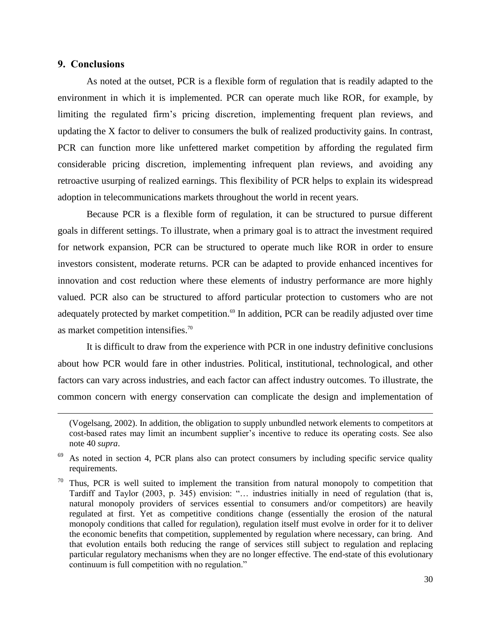#### **9. Conclusions**

 $\overline{a}$ 

As noted at the outset, PCR is a flexible form of regulation that is readily adapted to the environment in which it is implemented. PCR can operate much like ROR, for example, by limiting the regulated firm"s pricing discretion, implementing frequent plan reviews, and updating the X factor to deliver to consumers the bulk of realized productivity gains. In contrast, PCR can function more like unfettered market competition by affording the regulated firm considerable pricing discretion, implementing infrequent plan reviews, and avoiding any retroactive usurping of realized earnings. This flexibility of PCR helps to explain its widespread adoption in telecommunications markets throughout the world in recent years.

Because PCR is a flexible form of regulation, it can be structured to pursue different goals in different settings. To illustrate, when a primary goal is to attract the investment required for network expansion, PCR can be structured to operate much like ROR in order to ensure investors consistent, moderate returns. PCR can be adapted to provide enhanced incentives for innovation and cost reduction where these elements of industry performance are more highly valued. PCR also can be structured to afford particular protection to customers who are not adequately protected by market competition.<sup>69</sup> In addition, PCR can be readily adjusted over time as market competition intensifies.<sup>70</sup>

It is difficult to draw from the experience with PCR in one industry definitive conclusions about how PCR would fare in other industries. Political, institutional, technological, and other factors can vary across industries, and each factor can affect industry outcomes. To illustrate, the common concern with energy conservation can complicate the design and implementation of

<sup>(</sup>Vogelsang, 2002). In addition, the obligation to supply unbundled network elements to competitors at cost-based rates may limit an incumbent supplier"s incentive to reduce its operating costs. See also note 40 *supra*.

<sup>&</sup>lt;sup>69</sup> As noted in section 4, PCR plans also can protect consumers by including specific service quality requirements.

 $70$  Thus, PCR is well suited to implement the transition from natural monopoly to competition that Tardiff and Taylor (2003, p. 345) envision: "… industries initially in need of regulation (that is, natural monopoly providers of services essential to consumers and/or competitors) are heavily regulated at first. Yet as competitive conditions change (essentially the erosion of the natural monopoly conditions that called for regulation), regulation itself must evolve in order for it to deliver the economic benefits that competition, supplemented by regulation where necessary, can bring. And that evolution entails both reducing the range of services still subject to regulation and replacing particular regulatory mechanisms when they are no longer effective. The end-state of this evolutionary continuum is full competition with no regulation."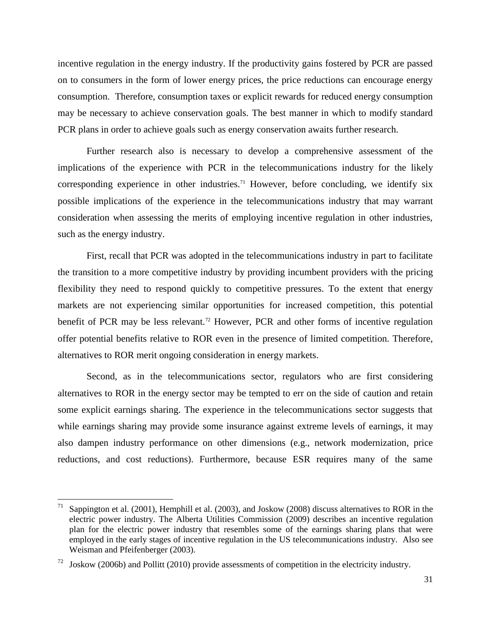incentive regulation in the energy industry. If the productivity gains fostered by PCR are passed on to consumers in the form of lower energy prices, the price reductions can encourage energy consumption. Therefore, consumption taxes or explicit rewards for reduced energy consumption may be necessary to achieve conservation goals. The best manner in which to modify standard PCR plans in order to achieve goals such as energy conservation awaits further research.

Further research also is necessary to develop a comprehensive assessment of the implications of the experience with PCR in the telecommunications industry for the likely corresponding experience in other industries.<sup>71</sup> However, before concluding, we identify six possible implications of the experience in the telecommunications industry that may warrant consideration when assessing the merits of employing incentive regulation in other industries, such as the energy industry.

First, recall that PCR was adopted in the telecommunications industry in part to facilitate the transition to a more competitive industry by providing incumbent providers with the pricing flexibility they need to respond quickly to competitive pressures. To the extent that energy markets are not experiencing similar opportunities for increased competition, this potential benefit of PCR may be less relevant.<sup>72</sup> However, PCR and other forms of incentive regulation offer potential benefits relative to ROR even in the presence of limited competition. Therefore, alternatives to ROR merit ongoing consideration in energy markets.

Second, as in the telecommunications sector, regulators who are first considering alternatives to ROR in the energy sector may be tempted to err on the side of caution and retain some explicit earnings sharing. The experience in the telecommunications sector suggests that while earnings sharing may provide some insurance against extreme levels of earnings, it may also dampen industry performance on other dimensions (e.g., network modernization, price reductions, and cost reductions). Furthermore, because ESR requires many of the same

<sup>&</sup>lt;sup>71</sup> Sappington et al. (2001), Hemphill et al. (2003), and Joskow (2008) discuss alternatives to ROR in the electric power industry. The Alberta Utilities Commission (2009) describes an incentive regulation plan for the electric power industry that resembles some of the earnings sharing plans that were employed in the early stages of incentive regulation in the US telecommunications industry. Also see Weisman and Pfeifenberger (2003).

 $72$  Joskow (2006b) and Pollitt (2010) provide assessments of competition in the electricity industry.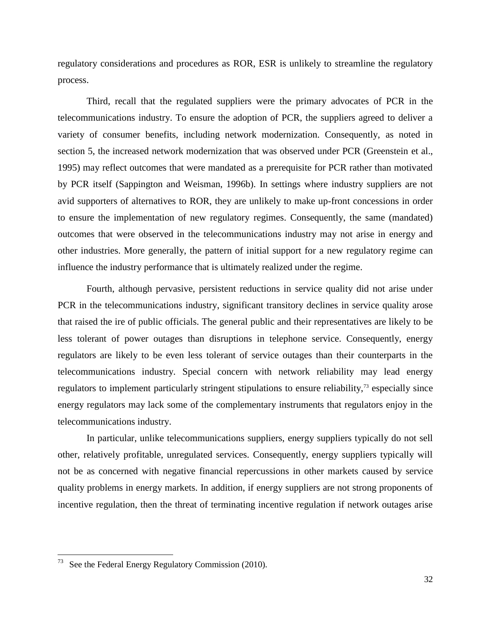regulatory considerations and procedures as ROR, ESR is unlikely to streamline the regulatory process.

Third, recall that the regulated suppliers were the primary advocates of PCR in the telecommunications industry. To ensure the adoption of PCR, the suppliers agreed to deliver a variety of consumer benefits, including network modernization. Consequently, as noted in section 5, the increased network modernization that was observed under PCR (Greenstein et al., 1995) may reflect outcomes that were mandated as a prerequisite for PCR rather than motivated by PCR itself (Sappington and Weisman, 1996b). In settings where industry suppliers are not avid supporters of alternatives to ROR, they are unlikely to make up-front concessions in order to ensure the implementation of new regulatory regimes. Consequently, the same (mandated) outcomes that were observed in the telecommunications industry may not arise in energy and other industries. More generally, the pattern of initial support for a new regulatory regime can influence the industry performance that is ultimately realized under the regime.

Fourth, although pervasive, persistent reductions in service quality did not arise under PCR in the telecommunications industry, significant transitory declines in service quality arose that raised the ire of public officials. The general public and their representatives are likely to be less tolerant of power outages than disruptions in telephone service. Consequently, energy regulators are likely to be even less tolerant of service outages than their counterparts in the telecommunications industry. Special concern with network reliability may lead energy regulators to implement particularly stringent stipulations to ensure reliability,<sup>73</sup> especially since energy regulators may lack some of the complementary instruments that regulators enjoy in the telecommunications industry.

In particular, unlike telecommunications suppliers, energy suppliers typically do not sell other, relatively profitable, unregulated services. Consequently, energy suppliers typically will not be as concerned with negative financial repercussions in other markets caused by service quality problems in energy markets. In addition, if energy suppliers are not strong proponents of incentive regulation, then the threat of terminating incentive regulation if network outages arise

<sup>73</sup> See the Federal Energy Regulatory Commission (2010).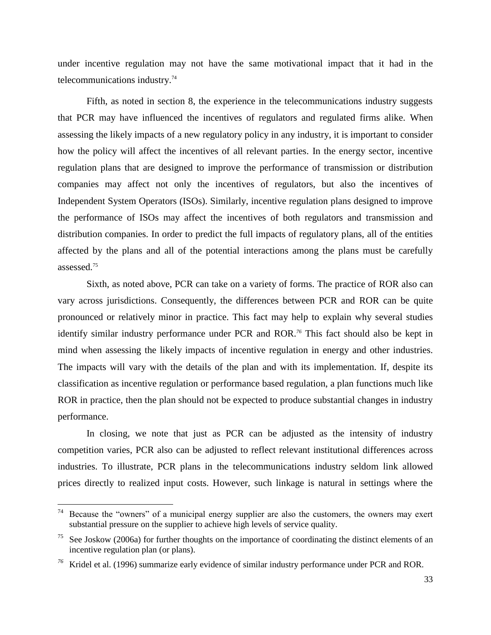under incentive regulation may not have the same motivational impact that it had in the telecommunications industry.<sup>74</sup>

Fifth, as noted in section 8, the experience in the telecommunications industry suggests that PCR may have influenced the incentives of regulators and regulated firms alike. When assessing the likely impacts of a new regulatory policy in any industry, it is important to consider how the policy will affect the incentives of all relevant parties. In the energy sector, incentive regulation plans that are designed to improve the performance of transmission or distribution companies may affect not only the incentives of regulators, but also the incentives of Independent System Operators (ISOs). Similarly, incentive regulation plans designed to improve the performance of ISOs may affect the incentives of both regulators and transmission and distribution companies. In order to predict the full impacts of regulatory plans, all of the entities affected by the plans and all of the potential interactions among the plans must be carefully assessed. 75

Sixth, as noted above, PCR can take on a variety of forms. The practice of ROR also can vary across jurisdictions. Consequently, the differences between PCR and ROR can be quite pronounced or relatively minor in practice. This fact may help to explain why several studies identify similar industry performance under PCR and ROR. *<sup>76</sup>* This fact should also be kept in mind when assessing the likely impacts of incentive regulation in energy and other industries. The impacts will vary with the details of the plan and with its implementation. If, despite its classification as incentive regulation or performance based regulation, a plan functions much like ROR in practice, then the plan should not be expected to produce substantial changes in industry performance.

In closing, we note that just as PCR can be adjusted as the intensity of industry competition varies, PCR also can be adjusted to reflect relevant institutional differences across industries. To illustrate, PCR plans in the telecommunications industry seldom link allowed prices directly to realized input costs. However, such linkage is natural in settings where the

 $74$  Because the "owners" of a municipal energy supplier are also the customers, the owners may exert substantial pressure on the supplier to achieve high levels of service quality.

 $75$  See Joskow (2006a) for further thoughts on the importance of coordinating the distinct elements of an incentive regulation plan (or plans).

*<sup>76</sup>* Kridel et al. (1996) summarize early evidence of similar industry performance under PCR and ROR.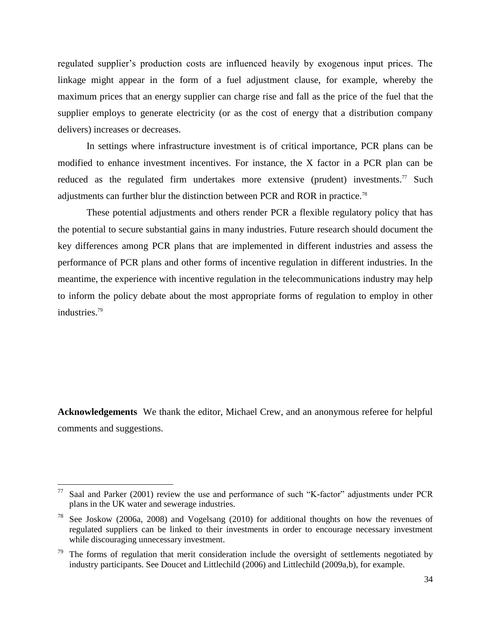regulated supplier"s production costs are influenced heavily by exogenous input prices. The linkage might appear in the form of a fuel adjustment clause, for example, whereby the maximum prices that an energy supplier can charge rise and fall as the price of the fuel that the supplier employs to generate electricity (or as the cost of energy that a distribution company delivers) increases or decreases.

In settings where infrastructure investment is of critical importance, PCR plans can be modified to enhance investment incentives. For instance, the X factor in a PCR plan can be reduced as the regulated firm undertakes more extensive (prudent) investments.<sup>77</sup> Such adjustments can further blur the distinction between PCR and ROR in practice.<sup>78</sup>

These potential adjustments and others render PCR a flexible regulatory policy that has the potential to secure substantial gains in many industries. Future research should document the key differences among PCR plans that are implemented in different industries and assess the performance of PCR plans and other forms of incentive regulation in different industries. In the meantime, the experience with incentive regulation in the telecommunications industry may help to inform the policy debate about the most appropriate forms of regulation to employ in other industries.<sup>79</sup>

**Acknowledgements** We thank the editor, Michael Crew, and an anonymous referee for helpful comments and suggestions.

Saal and Parker (2001) review the use and performance of such "K-factor" adjustments under PCR plans in the UK water and sewerage industries.

See Joskow (2006a, 2008) and Vogelsang (2010) for additional thoughts on how the revenues of regulated suppliers can be linked to their investments in order to encourage necessary investment while discouraging unnecessary investment.

The forms of regulation that merit consideration include the oversight of settlements negotiated by industry participants. See Doucet and Littlechild (2006) and Littlechild (2009a,b), for example.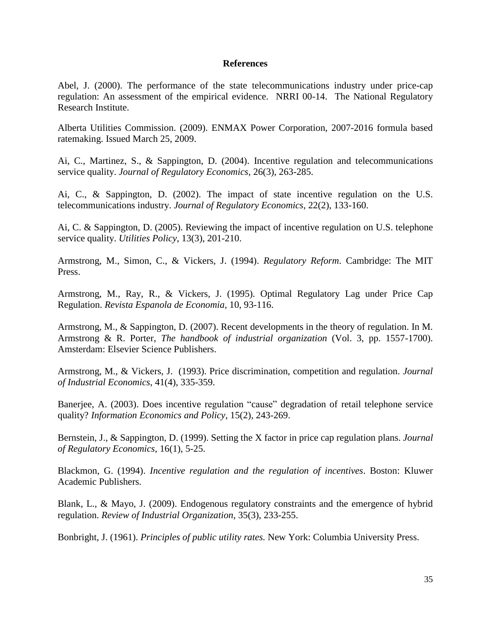#### **References**

Abel, J. (2000). The performance of the state telecommunications industry under price-cap regulation: An assessment of the empirical evidence. NRRI 00-14. The National Regulatory Research Institute.

Alberta Utilities Commission. (2009). ENMAX Power Corporation, 2007-2016 formula based ratemaking. Issued March 25, 2009.

Ai, C., Martinez, S., & Sappington, D. (2004). Incentive regulation and telecommunications service quality. *Journal of Regulatory Economics*, 26(3), 263-285.

Ai, C., & Sappington, D. (2002). The impact of state incentive regulation on the U.S. telecommunications industry. *Journal of Regulatory Economics*, 22(2), 133-160.

Ai, C. & Sappington, D. (2005). Reviewing the impact of incentive regulation on U.S. telephone service quality. *Utilities Policy*, 13(3), 201-210.

Armstrong, M., Simon, C., & Vickers, J. (1994). *Regulatory Reform*. Cambridge: The MIT Press.

Armstrong, M., Ray, R., & Vickers, J. (1995). Optimal Regulatory Lag under Price Cap Regulation. *Revista Espanola de Economia*, 10, 93-116.

Armstrong, M., & Sappington, D. (2007). Recent developments in the theory of regulation. In M. Armstrong & R. Porter, *The handbook of industrial organization* (Vol. 3, pp. 1557-1700). Amsterdam: Elsevier Science Publishers.

Armstrong, M., & Vickers, J. (1993). Price discrimination, competition and regulation. *Journal of Industrial Economics*, 41(4), 335-359.

Banerjee, A. (2003). Does incentive regulation "cause" degradation of retail telephone service quality? *Information Economics and Policy*, 15(2), 243-269.

Bernstein, J., & Sappington, D. (1999). Setting the X factor in price cap regulation plans. *Journal of Regulatory Economics*, 16(1), 5-25.

Blackmon, G. (1994). *Incentive regulation and the regulation of incentives*. Boston: Kluwer Academic Publishers.

Blank, L., & Mayo, J. (2009). Endogenous regulatory constraints and the emergence of hybrid regulation. *Review of Industrial Organization*, 35(3), 233-255.

Bonbright, J. (1961). *Principles of public utility rates.* New York: Columbia University Press.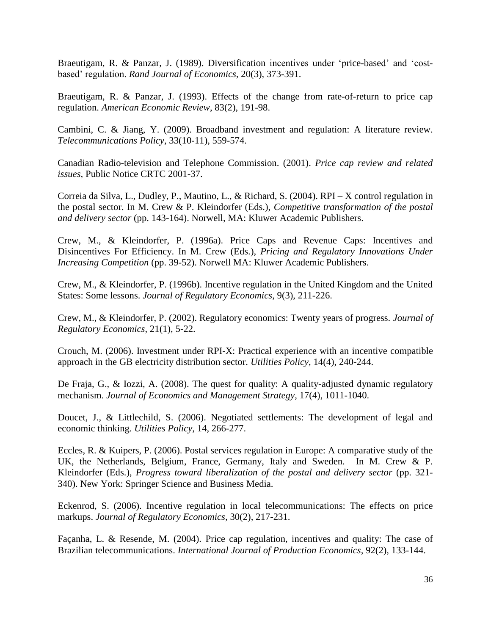Braeutigam, R. & Panzar, J. (1989). Diversification incentives under 'price-based' and 'costbased" regulation. *Rand Journal of Economics,* 20(3), 373-391.

Braeutigam, R. & Panzar, J. (1993). Effects of the change from rate-of-return to price cap regulation. *American Economic Review*, 83(2), 191-98.

Cambini, C. & Jiang, Y. (2009). Broadband investment and regulation: A literature review. *Telecommunications Policy*, 33(10-11), 559-574.

Canadian Radio-television and Telephone Commission. (2001). *Price cap review and related issues,* Public Notice CRTC 2001-37.

Correia da Silva, L., Dudley, P., Mautino, L., & Richard, S. (2004). RPI – X control regulation in the postal sector. In M. Crew & P. Kleindorfer (Eds.), *Competitive transformation of the postal and delivery sector* (pp. 143-164). Norwell, MA: Kluwer Academic Publishers.

Crew, M., & Kleindorfer, P. (1996a). Price Caps and Revenue Caps: Incentives and Disincentives For Efficiency. In M. Crew (Eds.), *Pricing and Regulatory Innovations Under Increasing Competition* (pp. 39-52). Norwell MA: Kluwer Academic Publishers.

Crew, M., & Kleindorfer, P. (1996b). Incentive regulation in the United Kingdom and the United States: Some lessons. *Journal of Regulatory Economics*, 9(3), 211-226.

Crew, M., & Kleindorfer, P. (2002). Regulatory economics: Twenty years of progress. *Journal of Regulatory Economics*, 21(1), 5-22.

Crouch, M. (2006). Investment under RPI-X: Practical experience with an incentive compatible approach in the GB electricity distribution sector. *Utilities Policy*, 14(4), 240-244.

De Fraja, G., & Iozzi, A. (2008). The quest for quality: A quality-adjusted dynamic regulatory mechanism. *Journal of Economics and Management Strategy*, 17(4), 1011-1040.

Doucet, J., & Littlechild, S. (2006). Negotiated settlements: The development of legal and economic thinking. *Utilities Policy*, 14, 266-277.

Eccles, R. & Kuipers, P. (2006). Postal services regulation in Europe: A comparative study of the UK, the Netherlands, Belgium, France, Germany, Italy and Sweden. In M. Crew & P. Kleindorfer (Eds.), *Progress toward liberalization of the postal and delivery sector* (pp. 321- 340). New York: Springer Science and Business Media.

Eckenrod, S. (2006). Incentive regulation in local telecommunications: The effects on price markups. *Journal of Regulatory Economics,* 30(2), 217-231.

Façanha, L. & Resende, M. (2004). Price cap regulation, incentives and quality: The case of Brazilian telecommunications. *International Journal of Production Economics*, 92(2), 133-144.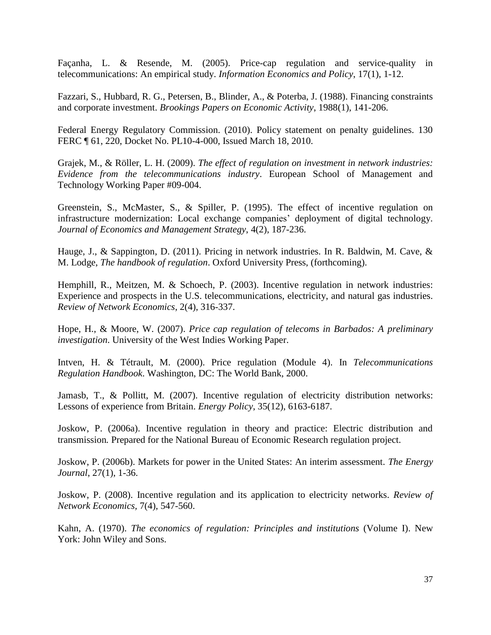Façanha, L. & Resende, M. (2005). Price-cap regulation and service-quality in telecommunications: An empirical study. *Information Economics and Policy*, 17(1), 1-12.

Fazzari, S., Hubbard, R. G., Petersen, B., Blinder, A., & Poterba, J. (1988). Financing constraints and corporate investment. *Brookings Papers on Economic Activity*, 1988(1), 141-206.

Federal Energy Regulatory Commission. (2010). Policy statement on penalty guidelines. 130 FERC ¶ 61, 220, Docket No. PL10-4-000, Issued March 18, 2010.

Grajek, M., & Röller, L. H. (2009). *The effect of regulation on investment in network industries: Evidence from the telecommunications industry*. European School of Management and Technology Working Paper #09-004.

Greenstein, S., McMaster, S., & Spiller, P. (1995). The effect of incentive regulation on infrastructure modernization: Local exchange companies' deployment of digital technology. *Journal of Economics and Management Strategy*, 4(2), 187-236.

Hauge, J., & Sappington, D. (2011). Pricing in network industries. In R. Baldwin, M. Cave, & M. Lodge, *The handbook of regulation*. Oxford University Press, (forthcoming).

Hemphill, R., Meitzen, M. & Schoech, P. (2003). Incentive regulation in network industries: Experience and prospects in the U.S. telecommunications, electricity, and natural gas industries. *Review of Network Economics*, 2(4), 316-337.

Hope, H., & Moore, W. (2007). *Price cap regulation of telecoms in Barbados: A preliminary investigation*. University of the West Indies Working Paper.

Intven, H. & Tétrault, M. (2000). Price regulation (Module 4). In *Telecommunications Regulation Handbook*. Washington, DC: The World Bank, 2000.

Jamasb, T., & Pollitt, M. (2007). Incentive regulation of electricity distribution networks: Lessons of experience from Britain. *Energy Policy*, 35(12), 6163-6187.

Joskow, P. (2006a). Incentive regulation in theory and practice: Electric distribution and transmission*.* Prepared for the National Bureau of Economic Research regulation project.

Joskow, P. (2006b). Markets for power in the United States: An interim assessment. *The Energy Journal*, 27(1), 1-36.

Joskow, P. (2008). Incentive regulation and its application to electricity networks. *Review of Network Economics,* 7(4), 547-560.

Kahn, A. (1970). *The economics of regulation: Principles and institutions* (Volume I). New York: John Wiley and Sons.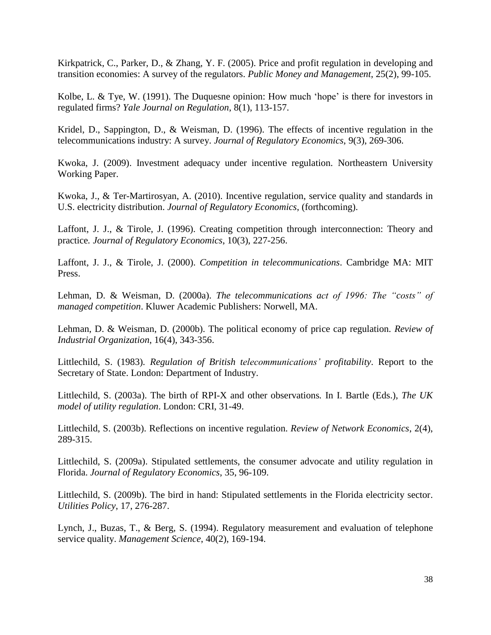Kirkpatrick, C., Parker, D., & Zhang, Y. F. (2005). Price and profit regulation in developing and transition economies: A survey of the regulators. *Public Money and Management*, 25(2), 99-105.

Kolbe, L. & Tye, W. (1991). The Duquesne opinion: How much 'hope' is there for investors in regulated firms? *Yale Journal on Regulation*, 8(1), 113-157.

Kridel, D., Sappington, D., & Weisman, D. (1996). The effects of incentive regulation in the telecommunications industry: A survey. *Journal of Regulatory Economics*, 9(3), 269-306.

Kwoka, J. (2009). Investment adequacy under incentive regulation. Northeastern University Working Paper.

Kwoka, J., & Ter-Martirosyan, A. (2010). Incentive regulation, service quality and standards in U.S. electricity distribution. *Journal of Regulatory Economics*, (forthcoming).

Laffont, J. J., & Tirole, J. (1996). Creating competition through interconnection: Theory and practice*. Journal of Regulatory Economics*, 10(3), 227-256.

Laffont, J. J., & Tirole, J. (2000). *Competition in telecommunications*. Cambridge MA: MIT Press.

Lehman, D. & Weisman, D. (2000a). *The telecommunications act of 1996: The "costs" of managed competition*. Kluwer Academic Publishers: Norwell, MA.

Lehman, D. & Weisman, D. (2000b). The political economy of price cap regulation. *Review of Industrial Organization*, 16(4), 343-356.

Littlechild, S. (1983)*. Regulation of British telecommunications" profitability*. Report to the Secretary of State. London: Department of Industry.

Littlechild, S. (2003a). The birth of RPI-X and other observations*.* In I. Bartle (Eds.)*, The UK model of utility regulation*. London: CRI, 31-49.

Littlechild, S. (2003b). Reflections on incentive regulation. *Review of Network Economics*, 2(4), 289-315.

Littlechild, S. (2009a). Stipulated settlements, the consumer advocate and utility regulation in Florida. *Journal of Regulatory Economics*, 35, 96-109.

Littlechild, S. (2009b). The bird in hand: Stipulated settlements in the Florida electricity sector. *Utilities Policy*, 17, 276-287.

Lynch, J., Buzas, T., & Berg, S. (1994). Regulatory measurement and evaluation of telephone service quality. *Management Science*, 40(2), 169-194.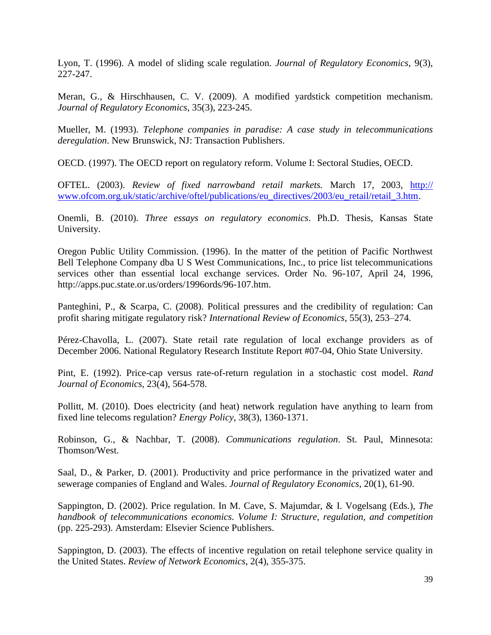Lyon, T. (1996). A model of sliding scale regulation. *Journal of Regulatory Economics*, 9(3), 227-247.

Meran, G., & Hirschhausen, C. V. (2009). A modified yardstick competition mechanism. *Journal of Regulatory Economics*, 35(3), 223-245.

Mueller, M. (1993). *Telephone companies in paradise: A case study in telecommunications deregulation*. New Brunswick, NJ: Transaction Publishers.

OECD. (1997). The OECD report on regulatory reform. Volume I: Sectoral Studies, OECD.

OFTEL. (2003). *Review of fixed narrowband retail markets.* March 17, 2003, http:// www.ofcom.org.uk/static/archive/oftel/publications/eu\_directives/2003/eu\_retail/retail\_3.htm.

Onemli, B. (2010). *Three essays on regulatory economics*. Ph.D. Thesis, Kansas State University.

Oregon Public Utility Commission. (1996). In the matter of the petition of Pacific Northwest Bell Telephone Company dba U S West Communications, Inc., to price list telecommunications services other than essential local exchange services. Order No. 96-107, April 24, 1996, http://apps.puc.state.or.us/orders/1996ords/96-107.htm.

Panteghini, P., & Scarpa, C. (2008). Political pressures and the credibility of regulation: Can profit sharing mitigate regulatory risk? *International Review of Economics*, 55(3), 253–274.

Pérez-Chavolla, L. (2007). State retail rate regulation of local exchange providers as of December 2006. National Regulatory Research Institute Report #07-04, Ohio State University.

Pint, E. (1992). Price-cap versus rate-of-return regulation in a stochastic cost model. *Rand Journal of Economics*, 23(4), 564-578.

Pollitt, M. (2010). Does electricity (and heat) network regulation have anything to learn from fixed line telecoms regulation? *Energy Policy*, 38(3), 1360-1371.

Robinson, G., & Nachbar, T. (2008). *Communications regulation*. St. Paul, Minnesota: Thomson/West.

Saal, D., & Parker, D. (2001). Productivity and price performance in the privatized water and sewerage companies of England and Wales. *Journal of Regulatory Economics*, 20(1), 61-90.

Sappington, D. (2002). Price regulation. In M. Cave, S. Majumdar, & I. Vogelsang (Eds.), *The handbook of telecommunications economics. Volume I: Structure, regulation, and competition* (pp. 225-293). Amsterdam: Elsevier Science Publishers.

Sappington, D. (2003). The effects of incentive regulation on retail telephone service quality in the United States. *Review of Network Economics*, 2(4), 355-375.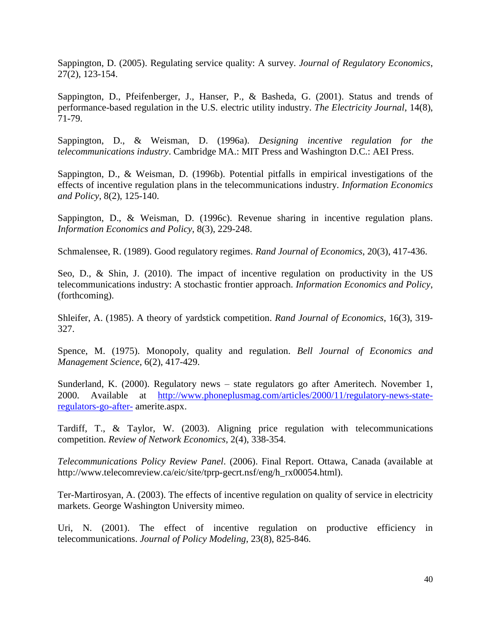Sappington, D. (2005). Regulating service quality: A survey. *Journal of Regulatory Economics*, 27(2), 123-154.

Sappington, D., Pfeifenberger, J., Hanser, P., & Basheda, G. (2001). Status and trends of performance-based regulation in the U.S. electric utility industry. *The Electricity Journal*, 14(8), 71-79.

Sappington, D., & Weisman, D. (1996a). *Designing incentive regulation for the telecommunications industry*. Cambridge MA.: MIT Press and Washington D.C.: AEI Press.

Sappington, D., & Weisman, D. (1996b). Potential pitfalls in empirical investigations of the effects of incentive regulation plans in the telecommunications industry. *Information Economics and Policy*, 8(2), 125-140.

Sappington, D., & Weisman, D. (1996c). Revenue sharing in incentive regulation plans. *Information Economics and Policy*, 8(3), 229-248.

Schmalensee, R. (1989). Good regulatory regimes. *Rand Journal of Economics*, 20(3), 417-436.

Seo, D., & Shin, J. (2010). The impact of incentive regulation on productivity in the US telecommunications industry: A stochastic frontier approach. *Information Economics and Policy*, (forthcoming).

Shleifer, A. (1985). A theory of yardstick competition. *Rand Journal of Economics*, 16(3), 319- 327.

Spence, M. (1975). Monopoly, quality and regulation. *Bell Journal of Economics and Management Science*, 6(2), 417-429.

Sunderland, K. (2000). Regulatory news – state regulators go after Ameritech. November 1, 2000. Available at [http://www.phoneplusmag.com/articles/2000/11/regulatory-news-state](http://www.phoneplusmag.com/articles/2000/11/regulatory-news-state-regulators-go-after-)[regulators-go-after-](http://www.phoneplusmag.com/articles/2000/11/regulatory-news-state-regulators-go-after-) amerite.aspx.

Tardiff, T., & Taylor, W. (2003). Aligning price regulation with telecommunications competition. *Review of Network Economics*, 2(4), 338-354.

*Telecommunications Policy Review Panel*. (2006). Final Report. Ottawa, Canada (available at http://www.telecomreview.ca/eic/site/tprp-gecrt.nsf/eng/h\_rx00054.html).

Ter-Martirosyan, A. (2003). The effects of incentive regulation on quality of service in electricity markets. George Washington University mimeo.

Uri, N. (2001). The effect of incentive regulation on productive efficiency in telecommunications. *Journal of Policy Modeling*, 23(8), 825-846.